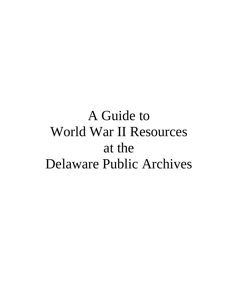# A Guide to World War II Resources at the Delaware Public Archives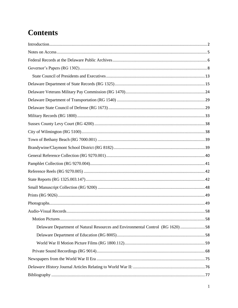# **Contents**

| Delaware Department of Natural Resources and Environmental Control (RG 1620)58 |  |
|--------------------------------------------------------------------------------|--|
|                                                                                |  |
|                                                                                |  |
|                                                                                |  |
|                                                                                |  |
|                                                                                |  |
|                                                                                |  |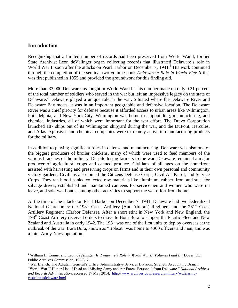# <span id="page-2-0"></span>**Introduction**

Recognizing that a limited number of records had been preserved from World War I, former State Archivist Leon deValinger began collecting records that illustrated Delaware's role in World War II soon after the attacks on Pearl Harbor on December 7, 1941.<sup>1</sup> His work continued through the completion of the seminal two-volume book *Delaware's Role in World War II* that was first published in 1955 and provided the groundwork for this finding aid.

More than 33,000 Delawareans fought in World War II. This number made up only 0.21 percent of the total number of soldiers who served in the war but left an impressive legacy on the state of Delaware.<sup>2</sup> Delaware played a unique role in the war. Situated where the Delaware River and Delaware Bay meets, it was in an important geographic and defensive location. The Delaware River was a chief priority for defense because it afforded access to urban areas like Wilmington, Philadelphia, and New York City. Wilmington was home to shipbuilding, manufacturing, and chemical industries, all of which were important for the war effort. The Dravo Corporation launched 187 ships out of its Wilmington shipyard during the war, and the DuPont, Hercules, and Atlas explosives and chemical companies were extremely active in manufacturing products for the military.

In addition to playing significant roles in defense and manufacturing, Delaware was also one of the biggest producers of broiler chickens, many of which were used to feed members of the various branches of the military. Despite losing farmers to the war, Delaware remained a major producer of agricultural crops and canned produce. Civilians of all ages on the homefront assisted with harvesting and preserving crops on farms and in their own personal and community victory gardens. Civilians also joined the Citizens Defense Corps, Civil Air Patrol, and Service Corps. They ran blood banks, collected raw materials like aluminum, rubber, iron, and steel for salvage drives, established and maintained canteens for servicemen and women who were on leave, and sold war bonds, among other activities to support the war effort from home.

At the time of the attacks on Pearl Harbor on December 7, 1941, Delaware had two federalized National Guard units: the  $198<sup>th</sup>$  Coast Artillery (Anti-Aircraft) Regiment and the  $261<sup>st</sup>$  Coast Artillery Regiment (Harbor Defense). After a short stint in New York and New England, the 198<sup>th</sup> Coast Artillery received orders to move to Bora Bora to support the Pacific Fleet and New Zealand and Australia in early 1942. The 198<sup>th</sup> was one of the first units to deploy overseas at the outbreak of the war. Bora Bora, known as "Bobcat" was home to 4300 officers and men, and was a joint Army-Navy operation.

l

<sup>1</sup> William H. Conner and Leon deValinger, Jr. *Delaware's Role in World War II, Volumes I and II*. (Dover, DE: Public Archives Commission, 1955), 7.

<sup>2</sup> War Branch, The Adjutant General's Office, Administrative Services Division, Strength Accounting Branch. "World War II Honor List of Dead and Missing Army and Air Forces Personnel from Delaware." *National Archives and Records Administration*, accessed 17 May 2014, [http://www.archives.gov/research/military/ww2/army-](http://www.archives.gov/research/military/ww2/army-casualties/delaware.html)

[casualties/delaware.html](http://www.archives.gov/research/military/ww2/army-casualties/delaware.html)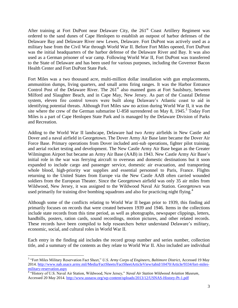After training at Fort DuPont near Delaware City, the  $261<sup>st</sup>$  Coast Artillery Regiment was ordered to the sand dunes of Cape Henlopen to establish an outpost of harbor defenses of the Delaware Bay and Delaware River new Lewes, Delaware. Fort DuPont was actively used as a military base from the Civil War through World War II. Before Fort Miles opened, Fort DuPont was the initial headquarters of the harbor defense of the Delaware River and Bay. It was also used as a German prisoner of war camp. Following World War II, Fort DuPont was transferred to the State of Delaware and has been used for various purposes, including the Governor Bacon Health Center and Fort DuPont State Park.

Fort Miles was a two thousand acre, multi-million dollar installation with gun emplacements, ammunition dumps, living quarters, and small arms firing ranges. It was the Harbor Entrance Control Post of the Delaware River. The  $261<sup>st</sup>$  also manned guns at Fort Saulsbury, between Milford and Slaughter Beach, and in Cape May, New Jersey. As part of the Coastal Defense system, eleven fire control towers were built along Delaware's Atlantic coast to aid in identifying potential threats. Although Fort Miles saw no action during World War II, it was the site where the crew of the German submarine U-858 surrendered on May 8, 1945.<sup>3</sup> Today Fort Miles is a part of Cape Henlopen State Park and is managed by the Delaware Division of Parks and Recreation.

Adding to the World War II landscape, Delaware had two Army airfields in New Castle and Dover and a naval airfield in Georgetown. The Dover Army Air Base later became the Dover Air Force Base. Primary operations from Dover included anti-sub operations, fighter pilot training, and aerial rocket testing and development. The New Castle Army Air Base began as the Greater Wilmington Airport but became an Army Air Base (AAB) in 1943. New Castle Army Air Base's initial role in the war was ferrying aircraft to overseas and domestic destinations but it soon expanded to include cargo and passenger service, domestic air evacuation, and transporting whole blood, high-priority war supplies and essential personnel to Paris, France. Flights returning to the United States from Europe via the New Castle AAB often carried wounded soldiers from the European Theater. Since the Georgetown airfield was only 35 air miles from Wildwood, New Jersey, it was assigned to the Wildwood Naval Air Station. Georgetown was used primarily for training dive bombing squadrons and also for practicing night flying.<sup>4</sup>

Although some of the conflicts relating to World War II began prior to 1939, this finding aid primarily focuses on records that were created between 1939 and 1946. Items in the collections include state records from this time period, as well as photographs, newspaper clippings, letters, handbills, posters, ration cards, sound recordings, motion pictures, and other related records. These records have been compiled to help researchers better understand Delaware's military, economic, social, and cultural roles in World War II.

Each entry in the finding aid includes the record group number and series number, collection title, and a summary of the contents as they relate to World War II. Also included are individual

 3 "Fort Miles Military Reservation Fact Sheet," *U.S. Army Corps of Engineers, Baltimore District*, Accessed 19 May 2014. [http://www.nab.usace.army.mil/Media/FactSheets/FactSheetArticleView/tabid/10470/Article/9334/fort-miles-](http://www.nab.usace.army.mil/Media/FactSheets/FactSheetArticleView/tabid/10470/Article/9334/fort-miles-military-reservation.aspx)

[military-reservation.aspx](http://www.nab.usace.army.mil/Media/FactSheets/FactSheetArticleView/tabid/10470/Article/9334/fort-miles-military-reservation.aspx) 4 "History of U.S. Naval Air Station, Wildwood, New Jersey," *Naval Air Station Wildwood Aviation Museum*, Accessed 20 May 2014.<http://www.usnasw.org/wp-content/uploads/2013/12/USNAS-History-Pt-1.pdf>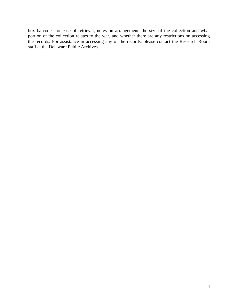box barcodes for ease of retrieval, notes on arrangement, the size of the collection and what portion of the collection relates to the war, and whether there are any restrictions on accessing the records. For assistance in accessing any of the records, please contact the Research Room staff at the Delaware Public Archives.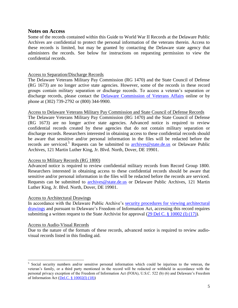### <span id="page-5-0"></span>**Notes on Access**

Some of the records contained within this Guide to World War II Records at the Delaware Public Archives are confidential to protect the personal information of the veterans therein. Access to these records is limited, but may be granted by contacting the Delaware state agency that administers the records. See below for instructions on requesting permission to view the confidential records.

#### Access to Separation/Discharge Records

The Delaware Veterans Military Pay Commission (RG 1470) and the State Council of Defense (RG 1673) are no longer active state agencies. However, some of the records in these record groups contain military separation or discharge records. To access a veteran's separation or discharge records, please contact the [Delaware Commission of Veterans Affairs](http://veteransaffairs.delaware.gov/index.shtml) online or by phone at (302) 739-2792 or (800) 344-9900.

#### Access to Delaware Veterans Military Pay Commission and State Council of Defense Records

The Delaware Veterans Military Pay Commission (RG 1470) and the State Council of Defense (RG 1673) are no longer active state agencies. Advanced notice is required to review confidential records created by these agencies that do not contain military separation or discharge records. Researchers interested in obtaining access to these confidential records should be aware that sensitive and/or personal information in the files will be redacted before the records are serviced.<sup>5</sup> Requests can be submitted to [archives@state.de.us](mailto:archives@state.de.us) or Delaware Public Archives, 121 Martin Luther King, Jr. Blvd. North, Dover, DE 19901.

# Access to Military Records (RG 1800)

Advanced notice is required to review confidential military records from Record Group 1800. Researchers interested in obtaining access to these confidential records should be aware that sensitive and/or personal information in the files will be redacted before the records are serviced. Requests can be submitted to [archives@state.de.us](mailto:archives@state.de.us) or Delaware Public Archives, 121 Martin Luther King, Jr. Blvd. North, Dover, DE 19901.

#### Access to Architectural Drawings

In accordance with the Delaware Public Archive's [security procedures for viewing architectural](http://archives.delaware.gov/progress.shtml)  [drawings](http://archives.delaware.gov/progress.shtml) and pursuant to Delaware's Freedom of Information Act, accessing this record requires submitting a written request to the State Archivist for approval [\(29 Del C. § 10002 \(l\) \(17\)\)](http://delcode.delaware.gov/title29/c100/index.shtml).

#### Access to Audio-Visual Records

 $\overline{\phantom{a}}$ 

Due to the nature of the formats of these records, advanced notice is required to review audiovisual records listed in this finding aid.

<sup>&</sup>lt;sup>5</sup> Social security numbers and/or sensitive personal information which could be injurious to the veteran, the veteran's family, or a third party mentioned in the record will be redacted or withheld in accordance with the personal privacy exception of the Freedom of Information Act (FOIA), U.S.C. 522 (b) (6) and Delaware's Freedom of Information Act [\(Del.C. § 10002\(l\)](http://delcode.delaware.gov/title29/c100/index.shtml) (18))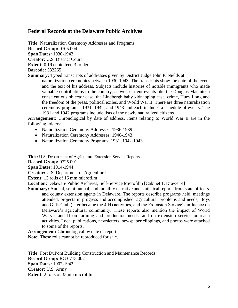# <span id="page-6-0"></span>**Federal Records at the Delaware Public Archives**

**Title:** Naturalization Ceremony Addresses and Programs **Record Group:** 0705.004 **Span Dates:** 1930-1943 **Creator:** U.S. District Court **Extent:** 0.19 cubic feet, 3 folders **Barcode:** 532265

**Summary:** Typed transcripts of addresses given by District Judge John P. Nields at naturalization ceremonies between 1930-1943. The transcripts show the date of the event and the text of his address. Subjects include histories of notable immigrants who made valuable contributions to the country, as well current events like the Douglas Macintosh conscientious objector case, the Lindbergh baby kidnapping case, crime, Huey Long and the freedom of the press, political exiles, and World War II. There are three naturalization ceremony programs: 1931, 1942, and 1943 and each includes a schedule of events. The 1931 and 1942 programs include lists of the newly naturalized citizens.

**Arrangement:** Chronological by date of address. Items relating to World War II are in the following folders:

- Naturalization Ceremony Addresses: 1936-1939
- Naturalization Ceremony Addresses: 1940-1943
- Naturalization Ceremony Programs: 1931, 1942-1943

**Title:** U.S. Department of Agriculture Extension Service Reports

**Record Group:** 0725.001

**Span Dates:** 1914-1944

**Creator:** U.S. Department of Agriculture

**Extent:** 13 rolls of 16 mm microfilm

**Location:** Delaware Public Archives, Self-Service Microfilm [Cabinet 1, Drawer 4]

**Summary:** Annual, semi-annual, and monthly narrative and statistical reports from state officers and county extension agents in Delaware. The reports describe programs held, meetings attended, projects in progress and accomplished, agricultural problems and needs, Boys and Girls Club (later became the 4-H) activities, and the Extension Service's influence on Delaware's agricultural community. These reports also mention the impact of World Wars I and II on farming and production needs, and on extension service outreach activities. Local publications, newsletters, newspaper clippings, and photos were attached to some of the reports.

**Arrangement:** Chronological by date of report.

**Note:** These rolls cannot be reproduced for sale.

**Title:** Fort DuPont Building Construction and Maintenance Records **Record Group:** RG 0775.002 **Span Dates:** 1902-1942 **Creator:** U.S. Army **Extent:** 2 rolls of 35mm microfilm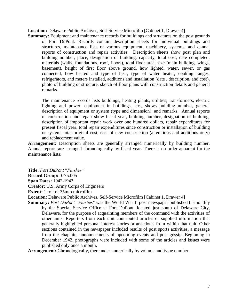**Location:** Delaware Public Archives, Self-Service Microfilm [Cabinet 1, Drawer 4]

**Summary:** Equipment and maintenance records for buildings and structures on the post grounds of Fort DuPont. Records contain description sheets for individual buildings and structures, maintenance lists of various equipment, machinery, systems, and annual reports of construction and repair activities. Description sheets show post plan and building number, place, designation of building, capacity, total cost, date completed, materials (walls, foundations, roof, floors), total floor area, size (main building, wings, basement), height of first floor above ground, how lighted, water, sewer, or gas connected, how heated and type of heat, type of water heater, cooking ranges, refrigerators, and meters installed, additions and installation (date , description, and cost), photo of building or structure, sketch of floor plans with construction details and general remarks.

The maintenance records lists buildings, heating plants, utilities, transformers, electric lighting and power, equipment in buildings, etc., shows building number, general description of equipment or system (type and dimension), and remarks. Annual reports of construction and repair show fiscal year, building number, designation of building, description of important repair work over one hundred dollars, repair expenditures for present fiscal year, total repair expenditures since construction or installation of building or system, total original cost, cost of new construction (alterations and additions only) and replacement value.

**Arrangement:** Description sheets are generally arranged numerically by building number. Annual reports are arranged chronologically by fiscal year. There is no order apparent for the maintenance lists.

**Title:** *Fort DuPont* "*Flashes"* **Record Group:** 0775.005 **Span Dates:** 1942-1943 **Creator:** U.S. Army Corps of Engineers **Extent:** 1 roll of 35mm microfilm

**Location:** Delaware Public Archives, Self-Service Microfilm [Cabinet 1, Drawer 4]

**Summary:** *Fort DuPont "Flashes"* was the World War II post newspaper published bi-monthly by the Special Service Office at Fort DuPont, located just south of Delaware City, Delaware, for the purpose of acquainting members of the command with the activities of other units. Reporters from each unit contributed articles or supplied information that generally highlighted personal interest stories or anecdotes from within that unit. Other sections contained in the newspaper included results of post sports activities, a message from the chaplain, announcements of upcoming events and post gossip. Beginning in December 1942, photographs were included with some of the articles and issues were published only once a month.

**Arrangement:** Chronologically, thereunder numerically by volume and issue number.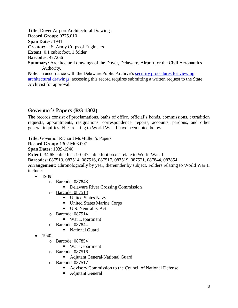**Title:** Dover Airport Architectural Drawings **Record Group:** 0775.010 **Span Dates:** 1941 **Creator:** U.S. Army Corps of Engineers **Extent:** 0.1 cubic foot, 1 folder **Barcodes:** 477256 **Summary:** Architectural drawings of the Dover, Delaware, Airport for the Civil Aeronautics Authority. **Note:** In accordance with the Delaware Public Archive's [security procedures for viewing](http://archives.delaware.gov/progress.shtml)  [architectural drawings,](http://archives.delaware.gov/progress.shtml) accessing this record requires submitting a written request to the State Archivist for approval.

# <span id="page-8-0"></span>**Governor's Papers (RG 1302)**

The records consist of proclamations, oaths of office, official's bonds, commissions, extradition requests, appointments, resignations, correspondence, reports, accounts, pardons, and other general inquiries. Files relating to World War II have been noted below.

**Title:** Governor Richard McMullen's Papers

**Record Group:** 1302.M03.007

**Span Dates:** 1939-1940

**Extent:** 34.65 cubic feet: 9-0.47 cubic foot boxes relate to World War II

**Barcodes:** 087513, 087514, 087516, 087517, 087519, 087521, 087844, 087854

**Arrangement:** Chronologically by year, thereunder by subject. Folders relating to World War II include:

- $-1939:$ 
	- o Barcode: 087848
		- Delaware River Crossing Commission
	- o Barcode: 087513
		- United States Navy
		- United States Marine Corps
		- U.S. Neutrality Act
	- o Barcode: 087514
		- War Department
	- o Barcode: 087844
		- National Guard
- $\bullet$  1940:
	- o Barcode: 087854
		- War Department
	- o Barcode: 087516
		- Adjutant General/National Guard
	- o Barcode: 087517
		- Advisory Commission to the Council of National Defense
		- Adjutant General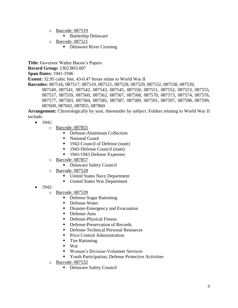- o Barcode: 087519
	- Battleship Delaware
- o Barcode: 087521
	- Delaware River Crossing

**Title:** Governor Walter Bacon's Papers **Record Group:** 1302.B03.007 **Span Dates:** 1941-1946 **Extent:** 32.95 cubic feet, 43-0.47 boxes relate to World War II **Barcodes:** 087516, 087517, 087519, 087521, 087528, 087529, 087532, 087538, 087539, 087540, 087541, 987542, 087543, 087545, 087550, 087551, 087552, 087553, 087555, 087557, 087559, 087560, 087562, 087567, 087568, 087570, 087573, 087574, 087576, 087577, 087583, 087584, 087585, 087587, 087589, 087591, 087597, 087598, 087599, 087600, 087602, 087855, 087860

**Arrangement:** Chronologically by year, thereunder by subject. Folders relating to World War II include:

- $\bullet$  1941:
	- o Barcode: 087855
		- Defense-Aluminum Collection
		- National Guard
		- 1942-Council of Defense (state)
		- 1943-Defense Council (state)
		- 1941/1943 Defense Expenses
	- o Barcode: 087857
		- Delaware Safety Council
	- o Barcode: 087528
		- United States Navy Department
		- United States War Department
- $1942:$ 
	- o Barcode: 087539
		- Defense-Sugar Rationing
		- Defense-Water
		- Disaster-Emergency and Evacuation
		- **Defense-Auto**
		- **Defense-Physical Fitness**
		- **Defense-Preservation of Records**
		- Defense-Technical Personal Resources
		- **Price Control Administration**
		- **Tire Rationing**
		- $\blacksquare$  War
		- Women's Division-Volunteer Services
		- **The Protective Activities** Protective Activities
	- o Barcode: 087532
		- Delaware Safety Council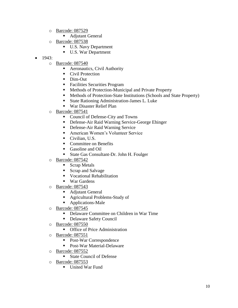- o Barcode: 087529
	- Adjutant General
- o Barcode: 087538
	- U.S. Navy Department
	- U.S. War Department
- $-1943:$ 
	- o Barcode: 087540
		- Aeronautics, Civil Authority
		- Civil Protection
		- Dim-Out
		- Facilities Securities Program
		- Methods of Protection-Municipal and Private Property
		- Methods of Protection-State Institutions (Schools and State Property)
		- State Rationing Administration-James L. Luke
		- War Disaster Relief Plan
	- o Barcode: 087541
		- Council of Defense-City and Towns
		- Defense-Air Raid Warning Service-George Ehinger
		- Defense-Air Raid Warning Service
		- American Women's Volunteer Service
		- Civilian, U.S.
		- Committee on Benefits
		- Gasoline and Oil
		- State Gas Consultant-Dr. John H. Foulger
	- o Barcode: 087542
		- **Scrap Metals**
		- Scrap and Salvage
		- **Vocational Rehabilitation**
		- War Gardens
	- o Barcode: 087543
		- Adjutant General
		- Agricultural Problems-Study of
		- **Applications-Male**
	- o Barcode: 087545
		- Delaware Committee on Children in War Time
		- **Delaware Safety Council**
	- o Barcode: 087550
		- **•** Office of Price Administration
	- o Barcode: 087551
		- Post-War Correspondence
		- Post-War Material-Delaware
	- o Barcode: 087552
		- State Council of Defense
	- o Barcode: 087553
		- **United War Fund**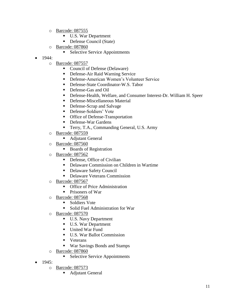- o Barcode: 087555
	- U.S. War Department
	- Defense Council (State)
- o Barcode: 087860
	- **Selective Service Appointments**
- $-1944:$ 
	- o Barcode: 087557
		- Council of Defense (Delaware)
		- Defense-Air Raid Warning Service
		- Defense-American Women's Volunteer Service
		- Defense-State Coordinator-W.S. Tabor
		- Defense-Gas and Oil
		- Defense-Health, Welfare, and Consumer Interest-Dr. William H. Speer
		- **Defense-Miscellaneous Material**
		- Defense-Scrap and Salvage
		- Defense-Soldiers' Vote
		- **•** Office of Defense-Transportation
		- Defense-War Gardens
		- Terry, T.A., Commanding General, U.S. Army
	- o Barcode: 087559
		- Adjutant General
	- o Barcode: 087560
		- Boards of Registration
	- o Barcode: 087562
		- Defense, Office of Civilian
		- Delaware Commission on Children in Wartime
		- Delaware Safety Council
		- Delaware Veterans Commission
	- o Barcode: 087567
		- **•** Office of Price Administration
		- Prisoners of War
	- o Barcode: 087568
		- **Soldiers Vote**
		- Solid Fuel Administration for War
	- o Barcode: 087570
		- U.S. Navy Department
		- U.S. War Department
		- **United War Fund**
		- U.S. War Ballot Commission
		- **veterans**
		- War Savings Bonds and Stamps
	- o Barcode: 087860
		- Selective Service Appointments
- $\bullet$  1945:
	- o Barcode: 087573
		- **Adjutant General**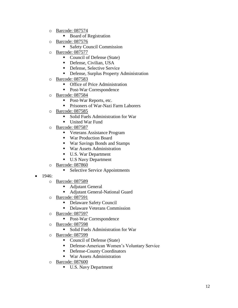- o Barcode: 087574
	- Board of Registration
- o Barcode: 087576
	- **Safety Council Commission**
- o Barcode: 087577
	- Council of Defense (State)
	- Defense, Civilian, USA
	- **Defense, Selective Service**
	- **•** Defense, Surplus Property Administration
- o Barcode: 087583
	- **•** Office of Price Administration
	- Post-War Correspondence
- o Barcode: 087584
	- Post-War Reports, etc.
	- **Prisoners of War-Nazi Farm Laborers**
- o Barcode: 087585
	- Solid Fuels Administration for War
	- **United War Fund**
- o Barcode: 087587
	- Veterans Assistance Program
	- War Production Board
	- War Savings Bonds and Stamps
	- War Assets Administration
	- U.S. War Department
	- U.S Navy Department
- o Barcode: 087860
	- **Selective Service Appointments**
- 1946:
	- o Barcode: 087589
		- Adjutant General
		- Adjutant General-National Guard
	- o Barcode: 087591
		- Delaware Safety Council
		- Delaware Veterans Commission
	- o Barcode: 087597
		- Post-War Correspondence
	- o Barcode: 087598
		- Solid Fuels Administration for War
	- o Barcode: 087599
		- Council of Defense (State)
		- **•** Defense-American Women's Voluntary Service
		- Defense-County Coordinators
		- War Assets Administration
	- o Barcode: 087600
		- U.S. Navy Department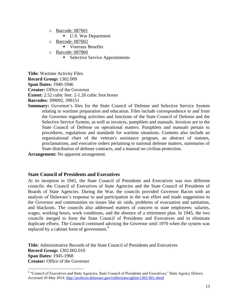- o Barcode: 087601
	- U.S. War Department
- o Barcode: 087602
	- **Veterans Benefits**
- o Barcode: 087860
	- Selective Service Appointments

**Title:** Wartime Activity Files **Record Group:** 1302.009 **Span Dates:** 1940-1946 **Creator:** Office of the Governor **Extent:** 2.52 cubic feet: 2-1.26 cubic foot boxes **Barcodes:** 399092, 399151

**Summary:** Governor's files for the State Council of Defense and Selective Service System relating to wartime preparation and education. Files include correspondence to and from the Governor regarding activities and functions of the State Council of Defense and the Selective Service System, as well as invoices, pamphlets and manuals. Invoices are to the State Council of Defense on operational matters. Pamphlets and manuals pertain to procedures, regulations and standards for wartime situations. Contents also include an organizational chart of the veteran's assistance program, an abstract of statutes, proclamations, and executive orders pertaining to national defense matters, summaries of State distribution of defense contracts, and a manual on civilian protection.

**Arrangement:** No apparent arrangement.

 $\overline{\phantom{a}}$ 

# <span id="page-13-0"></span>**State Council of Presidents and Executives**

At its inception in 1941, the State Council of Presidents and Executives was two different councils: the Council of Executives of State Agencies and the State Council of Presidents of Boards of State Agencies. During the War, the councils provided Governor Bacon with an analysis of Delaware's response to and participation in the war effort and made suggestions to the Governor and communities on issues like air raids, problems of evacuation and sanitation, and blackouts. The councils also addressed matters of concern to state employees: salaries, wages, working hours, work conditions, and the absence of a retirement plan. In 1945, the two councils merged to form the State Council of Presidents and Executives and to eliminate duplicate efforts. The Council continued advising the Governor until 1970 when the system was replaced by a cabinet form of government.<sup>6</sup>

**Title:** Administrative Records of the State Council of Presidents and Executives **Record Group:** 1302.002.010 **Span Dates:** 1945-1968 **Creator:** Office of the Governor

<sup>&</sup>lt;sup>6</sup> "Council of Executives and State Agencies, State Council of Presidents and Executives," State Agency History. Accessed 20 May 2014.<http://archives.delaware.gov/collections/aghist/1302-001.shtml>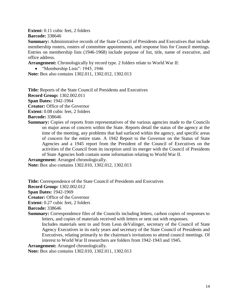**Extent:** 0.11 cubic feet, 2 folders **Barcode:** 338646

**Summary:** Administrative records of the State Council of Presidents and Executives that include membership rosters, rosters of committee appointments, and response lists for Council meetings. Entries on membership lists (1946-1968) include purpose of list, title, name of executive, and office address.

**Arrangement:** Chronologically by record type. 2 folders relate to World War II:

 $\bullet$  "Membership Lists": 1945, 1946

**Note:** Box also contains 1302.011, 1302.012, 1302.013

**Title:** Reports of the State Council of Presidents and Executives **Record Group:** 1302.002.011 **Span Dates:** 1942-1964 **Creator:** Office of the Governor

**Extent:** 0.08 cubic feet, 2 folders

**Barcode:** 338646

**Summary:** Copies of reports from representatives of the various agencies made to the Councils on major areas of concern within the State. Reports detail the status of the agency at the time of the meeting, any problems that had surfaced within the agency, and specific areas of concern for the entire state. A 1942 Report to the Governor on the Status of State Agencies and a 1945 report from the President of the Council of Executives on the activities of the Council from its inception until its merger with the Council of Presidents of State Agencies both contain some information relating to World War II.

**Arrangement:** Arranged chronologically.

**Note:** Box also contains 1302.010, 1302.012, 1302.013

**Title:** Correspondence of the State Council of Presidents and Executives

**Record Group:** 1302.002.012

**Span Dates:** 1942-1969

**Creator:** Office of the Governor

**Extent:** 0.27 cubic feet, 2 folders

**Barcode:** 338646

**Summary:** Correspondence files of the Councils including letters, carbon copies of responses to letters, and copies of materials received with letters or sent out with responses.

Includes materials sent to and from Leon deValinger, secretary of the Council of State Agency Executives in its early years and secretary of the State Council of Presidents and Executives, relating primarily to the chairman's invitations to attend council meetings. Of interest to World War II researchers are folders from 1942-1943 and 1945.

**Arrangement:** Arranged chronologically.

**Note:** Box also contains 1302.010, 1302.011, 1302.013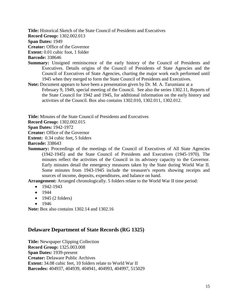**Title:** Historical Sketch of the State Council of Presidents and Executives

**Record Group:** 1302.002.013

**Span Dates:** 1949

**Creator:** Office of the Governor

**Extent:** 0.01 cubic foot, 1 folder

**Barcode:** 338646

- **Summary:** Unsigned reminiscence of the early history of the Council of Presidents and Executives. Details origins of the Council of Presidents of State Agencies and the Council of Executives of State Agencies, charting the major work each performed until 1945 when they merged to form the State Council of Presidents and Executives.
- **Note:** Document appears to have been a presentation given by Dr. M. A. Tarumianz at a February 9, 1949, special meeting of the Council. See also the series 1302.11, Reports of the State Council for 1942 and 1945, for additional information on the early history and activities of the Council. Box also contains 1302.010, 1302.011, 1302.012.

**Title:** Minutes of the State Council of Presidents and Executives

**Record Group:** 1302.002.015

**Span Dates:** 1942-1972

**Creator:** Office of the Governor

**Extent:** 0.34 cubic feet, 5 folders

**Barcode:** 338643

**Summary:** Proceedings of the meetings of the Council of Executives of All State Agencies (1942-1945) and the State Council of Presidents and Executives (1945-1970). The minutes reflect the activities of the Council in its advisory capacity to the Governor. Early minutes detail the emergency measures taken by the State during World War II. Some minutes from 1943-1945 include the treasurer's reports showing receipts and sources of income, deposits, expenditures, and balance on hand.

**Arrangement:** Arranged chronologically. 5 folders relate to the World War II time period:

- $-1942-1943$
- $1944$
- $\bullet$  1945 (2 folders)
- $1946$

**Note:** Box also contains 1302.14 and 1302.16

# <span id="page-15-0"></span>**Delaware Department of State Records (RG 1325)**

**Title:** Newspaper Clipping Collection **Record Group:** 1325.003.008 **Span Dates:** 1939-present **Creator:** Delaware Public Archives **Extent:** 34.08 cubic feet, 10 folders relate to World War II **Barcodes:** 404937, 404939, 404941, 404993, 404997, 515029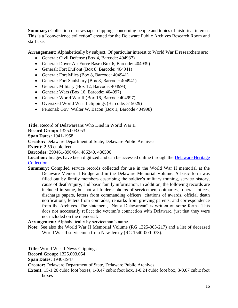**Summary:** Collection of newspaper clippings concerning people and topics of historical interest. This is a "convenience collection" created for the Delaware Public Archives Research Room and staff use.

**Arrangement:** Alphabetically by subject. Of particular interest to World War II researchers are:

- General: Civil Defense (Box 4, Barcode: 404937)
- General: Dover Air Force Base (Box 6, Barcode: 404939)
- General: Fort DuPont (Box 8, Barcode: 404941)
- General: Fort Miles (Box 8, Barcode: 404941)
- General: Fort Saulsbury (Box 8, Barcode: 404941)
- General: Military (Box 12, Barcode: 404993)
- General: Wars (Box 16, Barcode: 404997)
- General: World War II (Box 16, Barcode 404997)
- Oversized World War II clippings (Barcode: 515029)
- Personal: Gov. Walter W. Bacon (Box 1, Barcode 404998)

**Title:** Record of Delawareans Who Died in World War II **Record Group:** 1325.003.053 **Span Dates:** 1941-1958 **Creator:** Delaware Department of State, Delaware Public Archives **Extent:** 2.59 cubic feet **Barcodes:** 390461-390464, 486240, 486506 Location: Images have been digitized and can be accessed online through the Delaware Heritage [Collection.](http://cdm16397.contentdm.oclc.org/cdm/search/collection/p15323coll6/searchterm/Record%20of%20Delawareans%20Who%20Died%20in%20World%20War%20II/order/nosort) **Summary:** Compiled service records collected for use in the World War II memorial at the

Delaware Memorial Bridge and in the Delaware Memorial Volume. A basic form was filled out by family members describing the soldier's military training, service history, cause of death/injury, and basic family information. In addition, the following records are included in some, but not all folders: photos of servicemen, obituaries, funeral notices, discharge papers, letters from commanding officers, citations of awards, official death notifications, letters from comrades, remarks from grieving parents, and correspondence from the Archives. The statement, "Not a Delawarean" is written on some forms. This does not necessarily reflect the veteran's connection with Delaware, just that they were not included on the memorial.

**Arrangement:** Alphabetically by serviceman's name.

**Note:** See also the World War II Memorial Volume (RG 1325-003-217) and a list of deceased World War II servicemen from New Jersey (RG 1540-000-073).

**Title:** World War II News Clippings

**Record Group:** 1325.003.054

**Span Dates:** 1940-1947

**Creator:** Delaware Department of State, Delaware Public Archives

**Extent:** 15-1.26 cubic foot boxes, 1-0.47 cubic foot box, 1-0.24 cubic foot box, 3-0.67 cubic foot boxes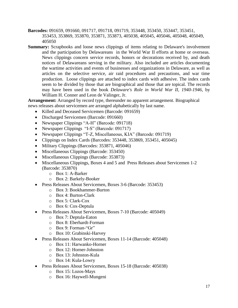- **Barcodes:** 091659, 091660, 091717, 091718, 091719, 353448, 353450, 353447, 353451, 353453, 353869, 353870, 353871, 353873, 405038, 405045, 405046, 405048, 405049, 405050
- **Summary:** Scrapbooks and loose news clippings of items relating to Delaware's involvement and the participation by Delawareans in the World War II efforts at home or overseas. News clippings concern service records, honors or decorations received by, and death notices of Delawareans serving in the military. Also included are articles documenting the wartime activities and events of businesses and organizations in Delaware, as well as articles on the selective service, air raid procedures and precautions, and war time production. Loose clippings are attached to index cards with adhesive. The index cards seem to be divided by those that are biographical and those that are topical. The records may have been used in the book *Delaware's Role in World War II, 1940-1946*, by William H. Conner and Leon de Valinger, Jr.

**Arrangement:** Arranged by record type, thereunder no apparent arrangement. Biographical news releases about servicemen are arranged alphabetically by last name.

- Killed and Deceased Servicemen (Barcode: 091659)
- Discharged Servicemen (Barcode: 091660)
- Newspaper Clippings "A-H" (Barcode: 091718)
- Newspaper Clippings "I-S" (Barcode: 091717)
- Newspaper Clippings "T-Z, Miscellaneous, KIA" (Barcode: 091719)
- Clippings on Index Cards (Barcodes: 353448, 353869, 353451, 405045)
- Military Clippings (Barcodes: 353871, 405046)
- Miscellaneous Clippings (Barcode: 353450)
- Miscellaneous Clippings (Barcode: 353873)
- Miscellaneous Clippings, Boxes 4 and 5 and Press Releases about Servicemen 1-2 (Barcode: 353870)
	- o Box 1: A-Barker
	- o Box 2: Barkely-Booker
- Press Releases About Servicemen, Boxes 3-6 (Barcode: 353453)
	- o Box 3: Bookhammer-Burton
	- o Box 4: Burton-Clark
	- o Box 5: Clark-Cox
	- o Box 6: Cox-Deptula
- Press Releases About Servicemen, Boxes 7-10 (Barcode: 405049)
	- o Box 7: Deptula-Eaton
	- o Box 8: Eberhardt-Forman
	- o Box 9: Forman-"Gr"
	- o Box 10: Grabinski-Harvey
- Press Releases About Servicemen, Boxes 11-14 (Barcode: 405048)
	- o Box 11: Harwanko-Horner
	- o Box 12: Horner-Johnston
	- o Box 13: Johnston-Kula
	- o Box 14: Kula-Lowry
- Press Releases About Servicemen, Boxes 15-18 (Barcode: 405038)
	- o Box 15: Lozos-Mays
	- o Box 16: Haywell-Mungeni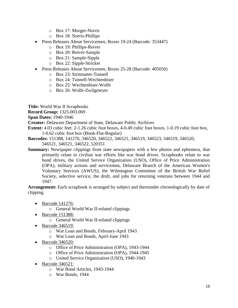- o Box 17: Murger-Norris
- o Box 18: Norris-Phillips
- Press Releases About Servicemen, Boxes 19-24 (Barcode: 353447)
	- o Box 19: Phillips-Reiver
	- o Box 20: Reiver-Sample
	- o Box 21: Sample-Sipple
	- o Box 22: Sipple-Stricker
- Press Releases About Servicemen, Boxes 25-28 (Barcode: 405050)
	- o Box 23: Stritmatter-Tunnell
	- o Box 24: Tunnell-Wechtenhiser
	- o Box 25: Wechtenhiser-Wolfe
	- o Box 26: Wolfe-Zwilgmeyer

**Title:** World War II Scrapbooks

**Record Group:** 1325.003.069

**Span Dates:** 1940-1946

**Creator:** Delaware Department of State, Delaware Public Archives

- **Extent:** 4.03 cubic feet: 2-1.26 cubic foot boxes, 4-0.49 cubic foot boxes, 1-0.19 cubic foot box, 1-0.62 cubic foot box (Book-Flat-Regular)
- **Barcodes:** 151388, 141276, 346520, 346522, 346521, 346519, 346523, 346519, 346520, 346521, 346521, 346522, 520351
- **Summary:** Newspaper clippings from state newspapers with a few photos and ephemera, that primarily relate to civilian war efforts like war bond drives. Scrapbooks relate to war bond drives, the United Service Organization (USO), Office of Price Administration (OPA), military actions and servicemen, Delaware Branch of the American Women's Voluntary Services (AWUS), the Wilmington Committee of the British War Relief Society, selective service, the draft, and jobs for returning veterans between 1944 and 1947.

**Arrangement:** Each scrapbook is arranged by subject and thereunder chronologically by date of clipping.

- Barcode 141276:
	- o General World War II-related clippings
- Barcode 151388:
	- o General World War II-related clippings
- Barcode 346519:
	- o War Loan and Bonds, February-April 1943
	- o War Loan and Bonds, April-June 1943
- Barcode 346520:
	- o Office of Price Administration (OPA), 1943-1944
	- o Office of Price Administration (OPA), 1944-1945
	- o United Service Organization (USO), 1940-1943
- $\bullet$  Barcode 346521:
	- o War Bond Articles, 1943-1944
	- o War Bonds, 1944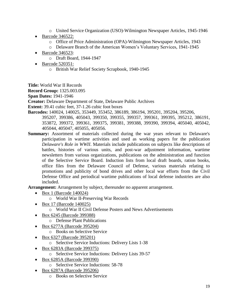- o United Service Organization (USO)-Wilmington Newspaper Articles, 1945-1946
- Barcode 346522:
	- o Office of Price Administration (OPA)-Wilmington Newspaper Articles, 1943
	- o Delaware Branch of the American Women's Voluntary Services, 1941-1945
- Barcode 346523:
	- o Draft Board, 1944-1947
- Barcode 520351:
	- o British War Relief Society Scrapbook, 1940-1945

**Title:** World War II Records

**Record Group:** 1325.003.095

**Span Dates:** 1941-1946

**Creator:** Delaware Department of State, Delaware Public Archives

**Extent:** 39.41 cubic feet, 37-1.26 cubic foot boxes

- **Barcodes:** 140024, 140025, 353449, 353452, 386189, 386194, 395201, 395204, 395206, 395207, 399386, 405043, 399350, 399355, 399357, 399361, 399395, 395212, 386191, 353872, 399372, 399361, 399375, 399381, 399388, 399390, 399394, 405040, 405042, 405044, 405047, 405055, 405056.
- **Summary:** Assortment of materials collected during the war years relevant to Delaware's participation in wartime activities and used as working papers for the publication *Delaware's Role in WWII*. Materials include publications on subjects like descriptions of battles, histories of various units, and post-war adjustment information, wartime newsletters from various organizations, publications on the administration and function of the Selective Service Board. Induction lists from local draft boards, ration books, office files from the Delaware Council of Defense, various materials relating to promotions and publicity of bond drives and other local war efforts from the Civil Defense Office and periodical wartime publications of local defense industries are also included.

**Arrangement:** Arrangement by subject, thereunder no apparent arrangement.

- $\bullet$  Box 1 (Barcode 140024)
	- o World War II-Preserving War Records
- $\bullet$  Box 17 (Barcode 140025)
	- o World War II Civil Defense Posters and News Advertisements
- Box 6245 (Barcode 399388)
	- o Defense Plant Publications
- Box 6277A (Barcode 395204)
	- o Books on Selective Service
- Box 6327 (Barcode 395201)
	- o Selective Service Inductions: Delivery Lists 1-38
- Box 6283A (Barcode 399375)
	- o Selective Service Inductions: Delivery Lists 39-57
- Box 6285A (Barcode 399390)
	- o Selective Service Inductions: 58-78
- Box 6287A (Barcode 395206)
	- o Books on Selective Service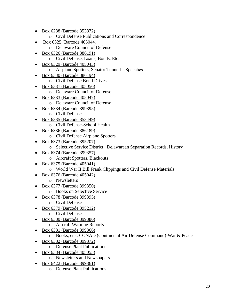- Box 6288 (Barcode 353872)
	- o Civil Defense Publications and Correspondence
- Box 6325 (Barcode 405044)
	- o Delaware Council of Defense
- Box 6326 (Barcode 386191)
	- o Civil Defense, Loans, Bonds, Etc.
- Box 6329 (Barcode 405043)
	- o Airplane Spotters, Senator Tunnell's Speeches
- Box 6330 (Barcode 386194)
	- o Civil Defense Bond Drives
- Box 6331 (Barcode 405056)
	- o Delaware Council of Defense
- Box 6333 (Barcode 405047)
	- o Delaware Council of Defense
- Box 6334 (Barcode 399395)
	- o Civil Defense
- Box 6335 (Barcode 353449)
	- o Civil Defense-School Health
- Box 6336 (Barcode 386189)
	- o Civil Defense Airplane Spotters
- Box 6373 (Barcode 395207)
	- o Selective Service District, Delawarean Separation Records, History
- Box 6374 (Barcode 399357)
	- o Aircraft Spotters, Blackouts
- Box 6375 (Barcode 405041)
	- o World War II Bill Frank Clippings and Civil Defense Materials
- Box 6376 (Barcode 405042)
	- o Newsletters
- Box 6377 (Barcode 399350)
	- o Books on Selective Service
- Box 6378 (Barcode 399395)
	- o Civil Defense
- Box 6379 (Barcode 395212)
	- o Civil Defense
- Box 6380 (Barcode 399386)
	- o Aircraft Warning Reports
- Box 6381 (Barcode 399366)
	- o Books, etc., CONAD (Continental Air Defense Command)-War & Peace
- Box 6382 (Barcode 399372)
	- o Defense Plant Publications
- Box 6384 (Barcode 405055)
	- o Newsletters and Newspapers
- Box 6422 (Barcode 399361)
	- o Defense Plant Publications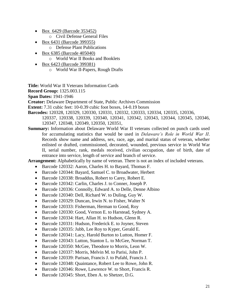- Box 6429 (Barcode 353452)
	- o Civil Defense General Files
- Box 6431 (Barcode 399355)
	- o Defense Plant Publications
- Box 6385 (Barcode 405040)
	- o World War II Books and Booklets
- Box 6423 (Barcode 399381)
	- o World War II-Papers, Rough Drafts

**Title:** World War II Veterans Information Cards

**Record Group:** 1325.003.115

**Span Dates:** 1941-1946

**Creator:** Delaware Department of State, Public Archives Commission

- **Extent:** 7.31 cubic feet: 10-0.39 cubic foot boxes, 14-0.19 boxes
- **Barcodes:** 120328, 120329, 120330, 120331, 120332, 120333, 120334, 120335, 120336, 120337, 120338, 120339, 120340, 120341, 120342, 120343, 120344, 120345, 120346, 120347, 120348, 120349, 120350, 120351,
- **Summary:** Information about Delaware World War II veterans collected on punch cards used for accumulating statistics that would be used in *Delaware's Role in World War II*. Records show name and address, sex, race, age, and marital status of veteran, whether enlisted or drafted, commissioned, decorated, wounded, previous service in World War II, serial number, rank, medals received, civilian occupation, date of birth, date of entrance into service, length of service and branch of service.

**Arrangement:** Alphabetically by name of veteran. There is not an index of included veterans.

- Barcode 120332: Aaron, Charles H. to Bayard, Thomas F.
- Barcode 120344: Bayard, Samuel C. to Broadwater, Herbert
- Barcode 120338: Broaddus, Robert to Carey, Robert E.
- Barcode 120342: Carlin, Charles J. to Conner, Joseph P.
- Barcode 120336: Connolly, Edward A. to Delle, Denne Albino
- Barcode 120340: Dell, Richard W. to Duling, Guy W.
- Barcode 120329: Duncan, Irwin N. to Fisher, Walter N
- Barcode 120333: Fisherman, Herman to Good, Roy
- Barcode 120330: Good, Vernon E. to Harstead, Sydney A.
- Barcode 120334: Hart, Allan H. to Hudson, Glenn R.
- Barcode 120331: Hudson, Frederick E. to Joyner, Steven
- Barcode 120335: Jubb, Lee Roy to Kyper, Gerald E.
- Barcode 120341: Lacy, Harold Burton to Lutton, Homer F.
- Barcode 120343: Lutton, Stanton L. to McGee, Norman T.
- Barcode 120350: McGee, Theodore to Morris, Leon W.
- Barcode 120337: Morris, Melvin M. to Parisi, John P.
- Barcode 120339: Parisan, Francis J. to Pufahl, Francis J.
- Barcode 120348: Quaintance, Robert Lee to Rowe, John R.
- Barcode 120346: Rowe, Lawrence W. to Short, Francis R.
- Barcode 120345: Short, Eben A. to Shetzer, D.G.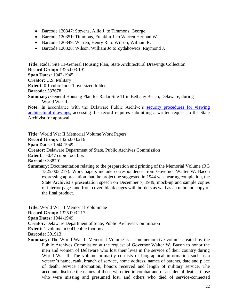- Barcode 120347: Stevens, Allie J. to Timmons, George
- Barcode 120351: Timmons, Franklin J. to Warren Herman W.
- Barcode 120349: Warren, Henry R. to Wilson, William R.
- Barcode 120328: Wilson, William Jo to Zydahowicz, Raymond J.

**Title:** Radar Site 11-General Housing Plan, State Architectural Drawings Collection **Record Group:** 1325.003.191 **Span Dates:** 1942-1945 **Creator:** U.S. Military **Extent:** 0.1 cubic foot: 1 oversized folder **Barcode:** 537678 **Summary:** General Housing Plan for Radar Site 11 in Bethany Beach, Delaware, during World War II. **Note:** In accordance with the Delaware Public Archive's [security procedures for viewing](http://archives.delaware.gov/progress.shtml) 

[architectural drawings,](http://archives.delaware.gov/progress.shtml) accessing this record requires submitting a written request to the State Archivist for approval.

**Title:** World War II Memorial Volume Work Papers **Record Group:** 1325.003.216 **Span Dates:** 1944-1949 **Creator:** Delaware Department of State, Public Archives Commission **Extent:** 1-0.47 cubic foot box **Barcode:** 338701 **Summary:** Documentation relating to the preparation and printing of the Memorial Volume (RG 1325.003.217). Work papers include correspondence from Governor Walter W. Bacon expressing appreciation that the project he suggested in 1944 was nearing completion, the State Archivist's presentation speech on December 7, 1949, mock-up and sample copies of interior pages and front cover, blank pages with borders as well as an unbound copy of the final product.

**Title:** World War II Memorial Volummae **Record Group:** 1325.003.217 **Span Dates:** 1944-1949

**Creator:** Delaware Department of State, Public Archives Commission

**Extent:** 1 volume in 0.41 cubic foot box

**Barcode:** 391913

**Summary:** The World War II Memorial Volume is a commemorative volume created by the Public Archives Commission at the request of Governor Walter W. Bacon to honor the men and women of Delaware who lost their lives in the service of their country during World War II. The volume primarily consists of biographical information such as a veteran's name, rank, branch of service, home address, names of parents, date and place of death, service information, honors received and length of military service. The accounts disclose the names of those who died in combat and of accidental deaths, those who were missing and presumed lost, and others who died of service-connected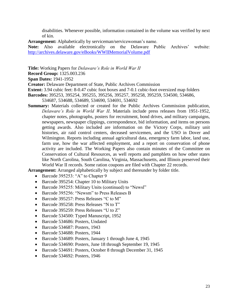disabilities. Whenever possible, information contained in the volume was verified by next of kin.

**Arrangement:** Alphabetically by serviceman/servicewoman's name.

**Note:** Also available electronically on the Delaware Public Archives' website: <http://archives.delaware.gov/eBooks/WWIIMemorialVolume.pdf>

**Title:** Working Papers for *Delaware's Role in World War II*

**Record Group:** 1325.003.236

**Span Dates:** 1941-1952

**Creator:** Delaware Department of State, Public Archives Commission

**Extent:** 3.94 cubic feet: 8-0.47 cubic foot boxes and 7-0.1 cubic-foot oversized map folders

**Barcodes:** 395253, 395254, 395255, 395256, 395257, 395258, 395259, 534500, 534686,

**Summary:** Materials collected or created for the Public Archives Commission publication, *Delaware's Role in World War II*. Materials include press releases from 1951-1952, chapter notes, photographs, posters for recruitment, bond drives, and military campaigns, newspapers, newspaper clippings, correspondence, bid information, and items on persons getting awards. Also included are information on the Victory Corps, military unit histories, air raid control centers, deceased servicemen, and the USO in Dover and Wilmington. Reports including annual agricultural data, emergency farm labor, land use, farm use, how the war affected employment, and a report on conservation of phone activity are included. The Working Papers also contain minutes of the Committee on Conservation of Cultural Resources, as well reports and pamphlets on how other states like North Carolina, South Carolina, Virginia, Massachusetts, and Illinois preserved their World War II records. Some ration coupons are filed with Chapter 22 records.

**Arrangement:** Arranged alphabetically by subject and thereunder by folder title.

- Barcode 395253: "A" to Chapter 9
- Barcode 395254: Chapter 10 to Military Units
- Barcode 395255: Military Units (continued) to "Newsl"
- Barcode 395256: "Newsm" to Press Releases B
- Barcode 395257: Press Releases "C to M"
- Barcode 395258: Press Releases "N to T"
- Barcode 395259: Press Releases "U to Z"
- Barcode 534500: Typed Manuscript, 1952
- Barcode 534686: Posters, Undated
- Barcode 534687: Posters, 1943
- Barcode 534688: Posters, 1944
- Barcode 534689: Posters, January 1 through June 4, 1945
- Barcode 534690: Posters, June 18 through September 19, 1945
- Barcode 534691: Posters, October 8 through December 31, 1945
- Barcode 534692: Posters, 1946

<sup>534687, 534688, 534689, 534690, 534691, 534692</sup>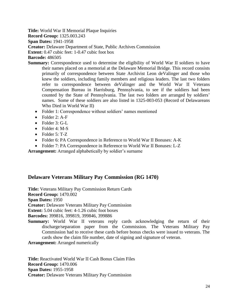**Title:** World War II Memorial Plaque Inquiries

**Record Group:** 1325.003.243

**Span Dates:** 1941-1958

**Creator:** Delaware Department of State, Public Archives Commission

**Extent:** 0.47 cubic feet: 1-0.47 cubic foot box

- **Barcode:** 486505
- **Summary:** Correspondence used to determine the eligibility of World War II soldiers to have their names placed on a memorial at the Delaware Memorial Bridge. This record consists primarily of correspondence between State Archivist Leon deValinger and those who knew the soldiers, including family members and religious leaders. The last two folders refer to correspondence between deValinger and the World War II Veterans Compensation Bureau in Harrisburg, Pennsylvania, to see if the soldiers had been counted by the State of Pennsylvania. The last two folders are arranged by soldiers' names. Some of these soldiers are also listed in 1325-003-053 (Record of Delawareans Who Died in World War II)
	- Folder 1: Correspondence without soldiers' names mentioned
	- $\bullet$  Folder 2: A-F
	- Folder 3: G-L
	- $\bullet$  Folder 4: M-S
	- Folder 5: T-Z
	- Folder 6: PA Correspondence in Reference to World War II Bonuses: A-K
	- Folder 7: PA Correspondence in Reference to World War II Bonuses: L-Z

**Arrangement:** Arranged alphabetically by soldier's surname

# <span id="page-24-0"></span>**Delaware Veterans Military Pay Commission (RG 1470)**

**Title:** Veterans Military Pay Commission Return Cards

**Record Group:** 1470.002

**Span Dates:** 1950

**Creator:** Delaware Veterans Military Pay Commission

**Extent:** 5.04 cubic feet: 4-1.26 cubic foot boxes

**Barcodes:** 399816, 399819, 399846, 399886

**Summary:** World War II veterans reply cards acknowledging the return of their discharge/separation paper from the Commission. The Veterans Military Pay Commission had to receive these cards before bonus checks were issued to veterans. The cards show the claim file number, date of signing and signature of veteran.

**Arrangement:** Arranged numerically

**Title:** Reactivated World War II Cash Bonus Claim Files **Record Group:** 1470.006 **Span Dates:** 1955-1958 **Creator:** Delaware Veterans Military Pay Commission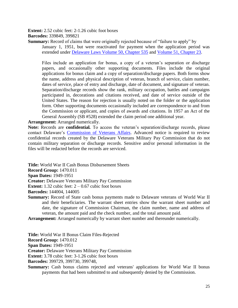**Extent:** 2.52 cubic feet: 2-1.26 cubic foot boxes

**Barcodes:** 339849, 399821

**Summary:** Record of claims that were originally rejected because of "failure to apply" by January 1, 1951, but were reactivated for payment when the application period was extended under [Delaware Laws Volume 50, Chapter 535](http://archives.delaware.gov/ebook2/delaws/previews/VOLUME_50_Part_I.pdf) and [Volume 51, Chapter 23.](http://archives.delaware.gov/ebook2/delaws/previews/VOLUME_51.pdf)

Files include an application for bonus, a copy of a veteran's separation or discharge papers, and occasionally other supporting documents. Files include the original applications for bonus claim and a copy of separation/discharge papers. Both forms show the name, address and physical description of veteran, branch of service, claim number, dates of service, place of entry and discharge, date of document, and signature of veteran. Separation/discharge records show the rank, military occupation, battles and campaigns participated in, decorations and citations received, and date of service outside of the United States. The reason for rejection is usually noted on the folder or the application form. Other supporting documents occasionally included are correspondence to and from the Commission or applicant, and copies of awards and citations. In 1957 an Act of the General Assembly (SB #528) extended the claim period one additional year.

### **Arrangement:** Arranged numerically.

**Note:** Records are **confidential***.* To access the veteran's separation/discharge records, please contact Delaware's [Commission of Veterans Affairs.](http://veteransaffairs.delaware.gov/) Advanced notice is required to review confidential records created by the Delaware Veterans Military Pay Commission that do not contain military separation or discharge records. Sensitive and/or personal information in the files will be redacted before the records are serviced.

**Title:** World War II Cash Bonus Disbursement Sheets

**Record Group:** 1470.011

**Span Dates:** 1949-1951

**Creator:** Delaware Veterans Military Pay Commission

**Extent:** 1.32 cubic feet:  $2 - 0.67$  cubic foot boxes

**Barcodes:** 144004, 144005

**Summary:** Record of State cash bonus payments made to Delaware veterans of World War II and their beneficiaries. The warrant sheet entries show the warrant sheet number and date, the signature of Commission Chairman, the claim number, name and address of veteran, the amount paid and the check number, and the total amount paid.

**Arrangement:** Arranged numerically by warrant sheet number and thereunder numerically.

**Title:** World War II Bonus Claim Files-Rejected

**Record Group:** 1470.012

**Span Dates:** 1949-1951

**Creator:** Delaware Veterans Military Pay Commission

**Extent:** 3.78 cubic feet: 3-1.26 cubic foot boxes

**Barcodes:** 399729, 399730, 399748,

**Summary:** Cash bonus claims rejected and veterans' applications for World War II bonus payments that had been submitted to and subsequently denied by the Commission.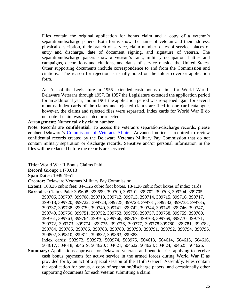Files contain the original application for bonus claim and a copy of a veteran's separation/discharge papers. Both forms show the name of veteran and their address, physical description, their branch of service, claim number, dates of service, places of entry and discharge, date of document signing, and signature of veteran. The separation/discharge papers show a veteran's rank, military occupation, battles and campaigns, decorations and citations, and dates of service outside the United States. Other supporting documents include correspondence to and from the Commission and citations. The reason for rejection is usually noted on the folder cover or application form.

An Act of the Legislature in 1955 extended cash bonus claims for World War II Delaware Veterans through 1957. In 1957 the Legislature extended the application period for an additional year, and in 1961 the application period was re-opened again for several months. Index cards of the claims and rejected claims are filed in one card catalogue, however, the claims and rejected files were separated. Index cards for World War II do not note if claim was accepted or rejected.

#### **Arrangement:** Numerically by claim number

**Note:** Records are **confidential***.* To access the veteran's separation/discharge records, please contact Delaware's [Commission of Veterans Affairs.](http://veteransaffairs.delaware.gov/) Advanced notice is required to review confidential records created by the Delaware Veterans Military Pay Commission that do not contain military separation or discharge records. Sensitive and/or personal information in the files will be redacted before the records are serviced.

**Title:** World War II Bonus Claims Paid

**Record Group:** 1470.013

**Span Dates:** 1949-1951

**Creator:** Delaware Veterans Military Pay Commission

**Extent:** 108.36 cubic feet: 84-1.26 cubic foot boxes, 18-1.26 cubic foot boxes of index cards **Barcodes:** Claims Paid: 399698, 399699, 399700, 399701, 399702, 399703, 399704, 399705, 399706, 399707, 399708, 399710, 399712, 399713, 399714, 399715, 399716, 399717, 399718, 399720, 399722, 399724, 399725, 399728, 399731, 399732, 399733, 399735, 399737, 399738, 399739, 399740, 399741, 399742, 399744, 399745, 399746, 399747, 399749, 399750, 399751, 399752, 399753, 399756, 399757, 399758, 399759, 399760, 399761, 399763, 399764, 399765, 399766, 399767, 399768, 399769, 399770, 399771, 399772, 399773, 399774, 399775, 399776, 399777, 399778,399780, 399781, 399782, 399784, 399785, 399786, 399788, 399789, 399790, 399791, 399792, 399794, 399796, 399802, 399810, 399812, 399832, 399863, 399883,

Index cards: 503972, 503973, 503974, 503975, 504613, 504614, 504615, 504616, 504617, 504618, 504619, 504620, 504621, 504622, 504623, 504624, 504625, 504626.

**Summary:** Applications approved for Delaware veterans and beneficiaries applying to receive cash bonus payments for active service in the armed forces during World War II as provided for by an act of a special session of the 115th General Assembly. Files contain the application for bonus, a copy of separation/discharge papers, and occasionally other supporting documents for each veteran submitting a claim.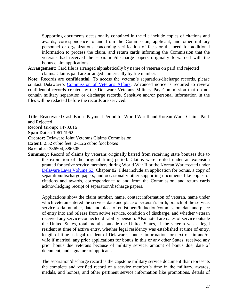Supporting documents occasionally contained in the file include copies of citations and awards, correspondence to and from the Commission, applicant, and other military personnel or organizations concerning verification of facts or the need for additional information to process the claim, and return cards informing the Commission that the veterans had received the separation/discharge papers originally forwarded with the bonus claim applications.

**Arrangement:** Card file is arranged alphabetically by name of veteran on paid and rejected claims. Claims paid are arranged numerically by file number.

**Note:** Records are **confidential***.* To access the veteran's separation/discharge records, please contact Delaware's [Commission of Veterans Affairs.](http://veteransaffairs.delaware.gov/) Advanced notice is required to review confidential records created by the Delaware Veterans Military Pay Commission that do not contain military separation or discharge records. Sensitive and/or personal information in the files will be redacted before the records are serviced.

**Title:** Reactivated Cash Bonus Payment Period for World War II and Korean War—Claims Paid and Rejected

**Record Group:** 1470.016

**Span Dates:** 1961-1962

**Creator:** Delaware Joint Veterans Claims Commission

**Extent:** 2.52 cubic feet: 2-1.26 cubic foot boxes

**Barcodes:** 386504, 386505

**Summary:** Record of claims by veterans originally barred from receiving state bonuses due to the expiration of the original filing period. Claims were refiled under an extension granted for active service members during World War II or the Korean War created under [Delaware Laws Volume 53,](http://archives.delaware.gov/ebook2/delaws/previews/VOLUME_53.pdf) Chapter 82. Files include an application for bonus, a copy of separation/discharge papers, and occasionally other supporting documents like copies of citations and awards, correspondence to and from the Commission, and return cards acknowledging receipt of separation/discharge papers.

Applications show the claim number, name, contact information of veteran, name under which veteran entered the service, date and place of veteran's birth, branch of the service, service serial number, date and place of enlistment/induction/commission, date and place of entry into and release from active service, condition of discharge, and whether veteran received any service-connected disability pension. Also noted are dates of service outside the United States, total months outside the United States, if the veteran was a legal resident at time of active entry, whether legal residency was established at time of entry, length of time as legal resident of Delaware, contact information for next-of-kin and/or wife if married, any prior applications for bonus in this or any other States, received any prior bonus due veterans because of military service, amount of bonus due, date of document, and signature of applicant.

The separation/discharge record is the capstone military service document that represents the complete and verified record of a service member's time in the military, awards, medals, and honors, and other pertinent service information like promotions, details of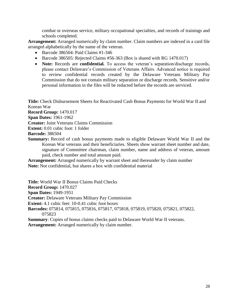combat or overseas service, military occupational specialties, and records of trainings and schools completed.

**Arrangement:** Arranged numerically by claim number. Claim numbers are indexed in a card file arranged alphabetically by the name of the veteran.

- Barcode  $386504$ : Paid Claims #1-346
- Barcode 386505: Rejected Claims #56-363 (Box is shared with RG 1470.017)
- **Note:** Records are **confidential***.* To access the veteran's separation/discharge records, please contact Delaware's Commission of Veterans Affairs. Advanced notice is required to review confidential records created by the Delaware Veterans Military Pay Commission that do not contain military separation or discharge records. Sensitive and/or personal information in the files will be redacted before the records are serviced.

**Title:** Check Disbursement Sheets for Reactivated Cash Bonus Payments for World War II and Korean War

**Record Group:** 1470.017

**Span Dates:** 1961-1962

**Creator:** Joint Veterans Claims Commission

**Extent:** 0.01 cubic foot: 1 folder

**Barcode:** 386504

**Summary:** Record of cash bonus payments made to eligible Delaware World War II and the Korean War veterans and their beneficiaries. Sheets show warrant sheet number and date, signature of Committee chairman, claim number, name and address of veteran, amount paid, check number and total amount paid.

**Arrangement:** Arranged numerically by warrant sheet and thereunder by claim number **Note:** Not confidential, but shares a box with confidential material

**Title:** World War II Bonus Claims Paid Checks **Record Group:** 1470.027 **Span Dates:** 1949-1951 **Creator:** Delaware Veterans Military Pay Commission **Extent:** 4.1 cubic feet: 10-0.41 cubic foot boxes **Barcodes:** 075814, 075815, 075816, 075817, 075818, 075819, 075820, 075821, 075822, 075823 **Summary**: Copies of bonus claims checks paid to Delaware World War II veterans.

**Arrangement:** Arranged numerically by claim number.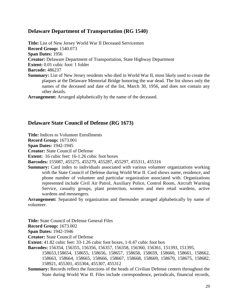# <span id="page-29-0"></span>**Delaware Department of Transportation (RG 1540)**

**Title:** List of New Jersey World War II Deceased Servicemen **Record Group:** 1540.073 **Span Dates:** 1956 **Creator:** Delaware Department of Transportation, State Highway Department **Extent:** 0.01 cubic foot: 1 folder **Barcode:** 486237 **Summary:** List of New Jersey residents who died in World War II, most likely used to create the plaques at the Delaware Memorial Bridge honoring the war dead. The list shows only the names of the deceased and date of the list, March 30, 1956, and does not contain any other details.

**Arrangement:** Arranged alphabetically by the name of the deceased.

# <span id="page-29-1"></span>**Delaware State Council of Defense (RG 1673)**

**Title:** Indices to Volunteer Enrollments

**Record Group:** 1673.001

**Span Dates:** 1942-1945

**Creator:** State Council of Defense

**Extent:** 16 cubic feet: 16-1.26 cubic foot boxes

**Barcodes:** 155087, 455275, 455279, 455287, 455297, 455311, 455316

**Summary:** Card index to individuals associated with various volunteer organizations working with the State Council of Defense during World War II. Card shows name, residence, and phone number of volunteer and particular organization associated with. Organizations represented include Civil Air Patrol, Auxiliary Police, Control Room, Aircraft Warning Service, casualty groups, plant protection, women and men retail wardens, active wardens and messengers.

**Arrangement:** Separated by organization and thereunder arranged alphabetically by name of volunteer.

**Title:** State Council of Defense General Files

**Record Group:** 1673.002

**Span Dates:** 1942-1946

**Creator:** State Council of Defense

**Extent:** 41.82 cubic feet: 33-1.26 cubic foot boxes, 1-0.47 cubic foot box

**Barcodes:** 156354, 156355, 156356, 156357, 156358, 156360, 156361, 151393, 151395,

158653,158654, 158655, 158656, 158657, 158658, 158659, 158660, 158661, 158662, 158663, 158664, 158665, 158666, 158667, 158668, 158669, 158670, 158675, 158682, 158921, 455301, 455304, 455307, 455312

**Summary:** Records reflect the functions of the heads of Civilian Defense centers throughout the State during World War II. Files include correspondence, periodicals, financial records,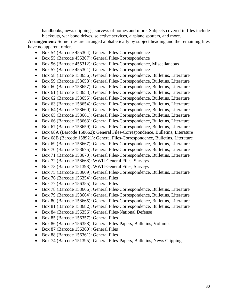handbooks, news clippings, surveys of homes and more. Subjects covered in files include blackouts, war bond drives, selective services, airplane spotters, and more.

**Arrangement:** Some files are arranged alphabetically by subject heading and the remaining files have no apparent order.

- Box 54 (Barcode 455304): General Files-Correspondence
- Box 55 (Barcode 455307): General Files-Correspondence
- Box 56 (Barcode 455312): General Files-Correspondence, Miscellaneous
- Box 57 (Barcode 455301): General Files-Correspondence
- Box 58 (Barcode 158656): General Files-Correspondence, Bulletins, Literature
- Box 59 (Barcode 158658): General Files-Correspondence, Bulletins, Literature
- Box 60 (Barcode 158657): General Files-Correspondence, Bulletins, Literature
- Box 61 (Barcode 158653): General Files-Correspondence, Bulletins, Literature
- Box 62 (Barcode 158655): General Files-Correspondence, Bulletins, Literature
- Box 63 (Barcode 158654): General Files-Correspondence, Bulletins, Literature
- Box 64 (Barcode 158660): General Files-Correspondence, Bulletins, Literature
- Box 65 (Barcode 158661): General Files-Correspondence, Bulletins, Literature
- Box 66 (Barcode 158663): General Files-Correspondence, Bulletins, Literature
- Box 67 (Barcode 158659): General Files-Correspondence, Bulletins, Literature
- Box 68A (Barcode 158662): General Files-Correspondence, Bulletins, Literature
- Box 68B (Barcode 158921): General Files-Correspondence, Bulletins, Literature
- Box 69 (Barcode 158667): General Files-Correspondence, Bulletins, Literature
- Box 70 (Barcode 158675): General Files-Correspondence, Bulletins, Literature
- Box 71 (Barcode 158670): General Files-Correspondence, Bulletins, Literature
- Box 72 (Barcode 158668): WWII-General Files, Surveys
- Box 73 (Barcode 151393): WWII-General Files, Surveys
- Box 75 (Barcode 158669): General Files-Correspondence, Bulletins, Literature
- Box 76 (Barcode 156354): General Files
- Box 77 (Barcode 156355): General Files
- Box 78 (Barcode 158666): General Files-Correspondence, Bulletins, Literature
- Box 79 (Barcode 158664): General Files-Correspondence, Bulletins, Literature
- Box 80 (Barcode 158665): General Files-Correspondence, Bulletins, Literature
- Box 81 (Barcode 158682): General Files-Correspondence, Bulletins, Literature
- Box 84 (Barcode 156356): General Files-National Defense
- Box 85 (Barcode 156357): General Files
- Box 86 (Barcode 156358): General Files-Papers, Bulletins, Volumes
- Box 87 (Barcode 156360): General Files
- Box 88 (Barcode 156361): General Files
- Box 74 (Barcode 151395): General Files-Papers, Bulletins, News Clippings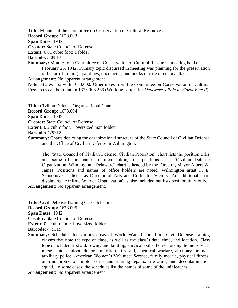**Title:** Minutes of the Committee on Conservation of Cultural Resources

**Record Group:** 1673.003

**Span Dates:** 1942

**Creator:** State Council of Defense

**Extent:** 0.01 cubic foot: 1 folder

**Barcode:** 338813

**Summary:** Minutes of a Committee on Conservation of Cultural Resources meeting held on February 25, 1942. Primary topic discussed in meeting was planning for the preservation of historic buildings, paintings, documents, and books in case of enemy attack.

**Arrangement:** No apparent arrangement

**Note:** Shares box with 1673.000. Other notes from the Committee on Conservation of Cultural Resources can be found in 1325.003.236 (Working papers for *Delaware's Role in World War II*).

**Title:** Civilian Defense Organizational Charts

**Record Group:** 1673.004

**Span Dates:** 1942

**Creator:** State Council of Defense

**Extent:** 0.2 cubic foot, 1 oversized map folder

**Barcode:** 479712

**Summary:** Charts depicting the organizational structure of the State Council of Civilian Defense and the Office of Civilian Defense in Wilmington.

The "State Council of Civilian Defense, Civilian Protection" chart lists the position titles and some of the names of men holding the positions. The "Civilian Defense Organization, Wilmington - Delaware" chart is headed by the Director, Mayor Albert W. James. Positions and names of office holders are noted. Wilmington artist F. E. Schoonover is listed as Director of Arts and Crafts for Victory. An additional chart displaying "Air Raid Warden Organization" is also included but lists position titles only.

**Arrangement:** No apparent arrangement.

**Title:** Civil Defense Training Class Schedules **Record Group:** 1673.005 **Span Dates:** 1942 **Creator:** State Council of Defense **Extent:** 0.2 cubic foot: 1 oversized folder **Barcode:** 479319

**Summary:** Schedules for various areas of World War II homefront Civil Defense training classes that note the type of class, as well as the class's date, time, and location. Class topics included first aid, sewing and knitting, surgical skills, home nursing, home service, nurse's aides, blood donors, nutrition, first aid, chemical warfare, auxiliary fireman, auxiliary police, American Women's Volunteer Service, family morale, physical fitness, air raid protection, motor corps and running repairs, fire arms, and decontamination squad. In some cases, the schedules list the names of some of the unit leaders.

**Arrangement:** No apparent arrangement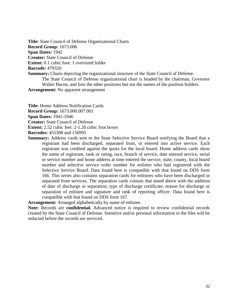**Title:** State Council of Defense Organizational Charts **Record Group:** 1673.006 **Span Dates:** 1942 **Creator:** State Council of Defense **Extent:** 0.1 cubic foot: 1 oversized folder **Barcode:** 479320 **Summary:** Charts depicting the organizational structure of the State Council of Defense. The State Council of Defense organizational chart is headed by the chairman, Governor Walter Bacon, and lists the other positions but not the names of the position holders.

**Arrangement:** No apparent arrangement

**Title:** Home Address Notification Cards

**Record Group:** 1673.000.007.001

**Span Dates:** 1941-1946

**Creator:** State Council of Defense

**Extent:** 2.52 cubic feet: 2-1.26 cubic foot boxes

**Barcodes:** 455308 and 156995

**Summary:** Address cards sent to the State Selective Service Board notifying the Board that a registrant had been discharged, separated from, or entered into active service. Each registrant was credited against the quota for the local board. Home address cards show the name of registrant, rank or rating, race, branch of service, date entered service, serial or service number and home address at time entered the service, state, county, local board number and selective service order number for enlistee who had registered with the Selective Service Board. Data found here is compatible with that found on DDS form 166. This series also contains separation cards for enlistees who have been discharged or separated from services. The separation cards contain that noted above with the addition of date of discharge or separation, type of discharge certificate, reason for discharge or separation of enlistee and signature and rank of reporting officer. Data found here is compatible with that found on DDS form 167.

**Arrangement:** Arranged alphabetically by name of enlistee.

**Note:** Records are **confidential***.* Advanced notice is required to review confidential records created by the State Council of Defense. Sensitive and/or personal information in the files will be redacted before the records are serviced.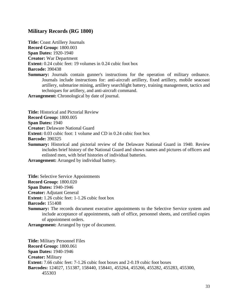# <span id="page-33-0"></span>**Military Records (RG 1800)**

**Title:** Coast Artillery Journals **Record Group:** 1800.003 **Span Dates:** 1920-1940 **Creator:** War Department **Extent:** 0.24 cubic feet: 19 volumes in 0.24 cubic foot box **Barcode:** 390438 **Summary:** Journals contain gunner's instructions for the operation of military ordnance.

Journals include instructions for: anti-aircraft artillery, fixed artillery, mobile seacoast artillery, submarine mining, artillery searchlight battery, training management, tactics and techniques for artillery, and anti-aircraft command.

**Arrangement:** Chronological by date of journal.

**Title:** Historical and Pictorial Review

**Record Group:** 1800.005

**Span Dates:** 1940

**Creator:** Delaware National Guard

**Extent:** 0.03 cubic foot: 1 volume and CD in 0.24 cubic foot box

**Barcode:** 390325

**Summary:** Historical and pictorial review of the Delaware National Guard in 1940. Review includes brief history of the National Guard and shows names and pictures of officers and enlisted men, with brief histories of individual batteries.

**Arrangement:** Arranged by individual battery.

**Title:** Selective Service Appointments

**Record Group:** 1800.020

**Span Dates:** 1940-1946

**Creator:** Adjutant General

**Extent:** 1.26 cubic feet: 1-1.26 cubic foot box

**Barcode:** 151408

**Summary:** The records document executive appointments to the Selective Service system and include acceptance of appointments, oath of office, personnel sheets, and certified copies of appointment orders.

**Arrangement:** Arranged by type of document.

**Title:** Military Personnel Files **Record Group:** 1800.061 **Span Dates:** 1940-1946 **Creator:** Military **Extent:** 7.66 cubic feet: 7-1.26 cubic foot boxes and 2-0.19 cubic foot boxes **Barcodes:** 124027, 151387, 158440, 158441, 455264, 455266, 455282, 455283, 455300, 455303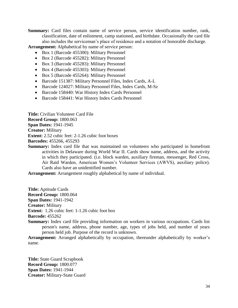**Summary:** Card files contain name of service person, service identification number, rank, classification, date of enlistment, camp stationed, and birthdate. Occasionally the card file also includes the serviceman's place of residence and a notation of honorable discharge.

**Arrangement:** Alphabetical by name of service person:

- Box 1 (Barcode 455300): Military Personnel
- Box 2 (Barcode 455282): Military Personnel
- Box 3 (Barcode 455283): Military Personnel
- Box 4 (Barcode 455303): Military Personnel
- Box 5 (Barcode 455264): Military Personnel
- Barcode 151387: Military Personnel Files, Index Cards, A-L
- Barcode 124027: Military Personnel Files, Index Cards, M-Sz
- Barcode 158440: War History Index Cards Personnel
- Barcode 158441: War History Index Cards Personnel

**Title:** Civilian Volunteer Card File **Record Group:** 1800.063 **Span Dates:** 1941-1945 **Creator:** Military **Extent:** 2.52 cubic feet: 2-1.26 cubic foot boxes **Barcodes:** 455266, 455293

**Summary:** Index card file that was maintained on volunteers who participated in homefront activities in Delaware during World War II. Cards show name, address, and the activity in which they participated. (i.e. block warden, auxiliary fireman, messenger, Red Cross, Air Raid Warden, American Women's Volunteer Services (AWVS), auxiliary police). Cards also have an unidentified number.

**Arrangement:** Arrangement roughly alphabetical by name of individual.

**Title:** Aptitude Cards **Record Group:** 1800.064 **Span Dates:** 1941-1942 **Creator:** Military **Extent:** 1.26 cubic feet: 1-1.26 cubic foot box **Barcode:** 455262

**Summary:** Index card file providing information on workers in various occupations. Cards list person's name, address, phone number, age, types of jobs held, and number of years person held job. Purpose of the record is unknown.

**Arrangement:** Arranged alphabetically by occupation, thereunder alphabetically by worker's name.

**Title:** State Guard Scrapbook **Record Group:** 1800.077 **Span Dates:** 1941-1944 **Creator:** Military-State Guard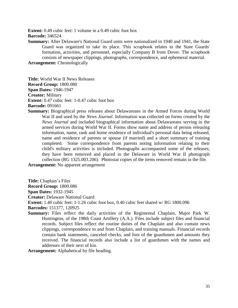**Extent:** 0.49 cubic feet: 1 volume in a 0.49 cubic foot box **Barcode:** 346524

**Summary:** After Delaware's National Guard units were nationalized in 1940 and 1941, the State Guard was organized to take its place. This scrapbook relates to the State Guards' formation, activities, and personnel, especially Company B from Dover. The scrapbook consists of newspaper clippings, photographs, correspondence, and ephemeral material.

**Arrangement:** Chronologically

**Title:** World War II News Releases **Record Group:** 1800.080 **Span Dates:** 1946-1947 **Creator:** Military **Extent:** 0.47 cubic feet: 1-0.47 cubic foot box **Barcode:** 091661

**Summary:** Biographical press releases about Delawareans in the Armed Forces during World War II and used by the *News Journal*. Information was collected on forms created by the *News Journal* and included biographical information about Delawareans serving in the armed services during World War II. Forms show name and address of person releasing information, name, rank and home residence of individual's personal data being released, name and residence of parents or spouse (if married) and a short summary of training completed. Some correspondence from parents noting information relating to their child's military activities is included. Photographs accompanied some of the releases; they have been removed and placed in the Delaware in World War II photograph collection (RG 1325.003.206). Photostat copies of the items removed remain in the file.

**Arrangement:** No apparent arrangement

**Title:** Chaplain's Files

**Record Group:** 1800.086

**Span Dates:** 1932-1945

**Creator:** Delaware National Guard

**Extent:** 1.40 cubic feet: 1-1.26 cubic foot box, 0.40 cubic feet shared w/ RG 1800.096

**Barcodes:** 151377, 120925

**Summary:** Files reflect the daily activities of the Regimental Chaplain, Major Park W. Huntington, of the 198th Coast Artillery (A.A.). Files include subject files and financial records. Subject files reflect the routine duties of the Chaplain and also contain news clippings, correspondence to and from Chaplain, and training manuals. Financial records contain bank statements, canceled checks, and lists of the guardsmen and amounts they received. The financial records also include a list of guardsmen with the names and addresses of their next of kin.

**Arrangement:** Alphabetical by file heading.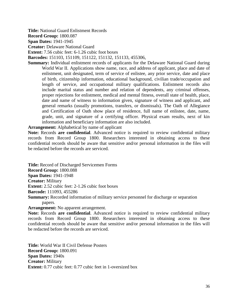**Title:** National Guard Enlistment Records

**Record Group:** 1800.087

**Span Dates:** 1941-1945

**Creator:** Delaware National Guard

**Extent:** 7.56 cubic feet: 6-1.26 cubic foot boxes

**Barcodes:** 151103, 151109, 151122, 151132, 151133, 455306,

**Summary:** Individual enlistment records of applicants for the Delaware National Guard during World War II. Applications show name, race, and address of applicant, place and date of enlistment, unit designated, term of service of enlistee, any prior service, date and place of birth, citizenship information, educational background, civilian trade/occupation and length of service, and occupational military qualifications. Enlistment records also include marital status and number and relation of dependents, any criminal offenses, proper rejections for enlistment, medical and mental fitness, overall state of health, place, date and name of witness to information given, signature of witness and applicant, and general remarks (usually promotions, transfers, or dismissals). The Oath of Allegiance and Certification of Oath show place of residence, full name of enlistee, date, name, grade, unit, and signature of a certifying officer. Physical exam results, next of kin information and beneficiary information are also included.

#### **Arrangement:** Alphabetical by name of applicant

**Note:** Records **are confidential**. Advanced notice is required to review confidential military records from Record Group 1800. Researchers interested in obtaining access to these confidential records should be aware that sensitive and/or personal information in the files will be redacted before the records are serviced.

**Title:** Record of Discharged Servicemen Forms

**Record Group:** 1800.088

**Span Dates:** 1941-1948

**Creator:** Military

**Extent:** 2.52 cubic feet: 2-1.26 cubic foot boxes

**Barcode:** 111093, 455286

**Summary:** Recorded information of military service personnel for discharge or separation papers.

**Arrangement:** No apparent arrangement.

**Note:** Records **are confidential**. Advanced notice is required to review confidential military records from Record Group 1800. Researchers interested in obtaining access to these confidential records should be aware that sensitive and/or personal information in the files will be redacted before the records are serviced.

**Title:** World War II Civil Defense Posters **Record Group:** 1800.091 **Span Dates:** 1940s **Creator:** Military **Extent:** 0.77 cubic feet: 0.77 cubic feet in 1-oversized box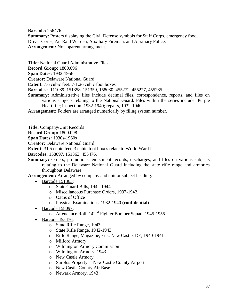**Barcode:** 256476

**Summary:** Posters displaying the Civil Defense symbols for Staff Corps, emergency food, Driver Corps, Air Raid Warden, Auxiliary Fireman, and Auxiliary Police. **Arrangement:** No apparent arrangement.

**Title:** National Guard Administrative Files

**Record Group:** 1800.096

**Span Dates:** 1932-1956

**Creator:** Delaware National Guard

**Extent:** 7.6 cubic feet: 7-1.26 cubic foot boxes

**Barcodes:** 111089, 151358, 151359, 158080, 455272, 455277, 455285,

**Summary:** Administrative files include decimal files, correspondence, reports, and files on various subjects relating to the National Guard. Files within the series include: Purple Heart file; inspection, 1932-1940; repairs, 1932-1940.

**Arrangement:** Folders are arranged numerically by filing system number.

**Title:** Company/Unit Records

**Record Group:** 1800.098

**Span Dates:** 1930s-1960s

**Creator:** Delaware National Guard

**Extent:** 31.5 cubic feet, 3 cubic foot boxes relate to World War II

**Barcodes:** 158097, 151363, 455476,

**Summary:** Orders, promotions, enlistment records, discharges, and files on various subjects relating to the Delaware National Guard including the state rifle range and armories throughout Delaware.

**Arrangement:** Arranged by company and unit or subject heading.

- Barcode 151363:
	- o State Guard Bills, 1942-1944
	- o Miscellaneous Purchase Orders, 1937-1942
	- o Oaths of Office
	- o Physical Examinations, 1932-1940 **(confidential)**
- Barcode 158097:
	- o Attendance Roll, 142nd Fighter Bomber Squad, 1945-1955
- $\bullet$  Barcode 455476:
	- o State Rifle Range, 1943
	- o State Rifle Range, 1942-1943
	- o Rifle Range, Magazine, Etc., New Castle, DE, 1940-1941
	- o Milford Armory
	- o Wilmington Armory Commission
	- o Wilmington Armory, 1943
	- o New Castle Armory
	- o Surplus Property at New Castle County Airport
	- o New Castle County Air Base
	- o Newark Armory, 1943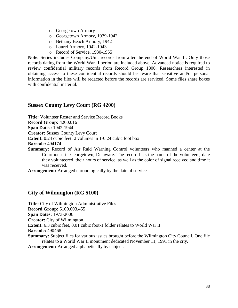- o Georgetown Armory
- o Georgetown Armory, 1939-1942
- o Bethany Beach Armory, 1942
- o Laurel Armory, 1942-1943
- o Record of Service, 1930-1955

**Note:** Series includes Company/Unit records from after the end of World War II. Only those records dating from the World War II period are included above. Advanced notice is required to review confidential military records from Record Group 1800. Researchers interested in obtaining access to these confidential records should be aware that sensitive and/or personal information in the files will be redacted before the records are serviced. Some files share boxes with confidential material.

## **Sussex County Levy Court (RG 4200)**

**Title:** Volunteer Roster and Service Record Books

**Record Group:** 4200.016

**Span Dates:** 1942-1944

**Creator:** Sussex County Levy Court

**Extent:** 0.24 cubic feet: 2 volumes in 1-0.24 cubic foot box

**Barcode:** 494174

**Summary:** Record of Air Raid Warning Control volunteers who manned a center at the Courthouse in Georgetown, Delaware. The record lists the name of the volunteers, date they volunteered, their hours of service, as well as the color of signal received and time it was received.

**Arrangement:** Arranged chronologically by the date of service

## **City of Wilmington (RG 5100)**

**Title:** City of Wilmington Administrative Files **Record Group:** 5100.003.455 **Span Dates:** 1973-2006 **Creator:** City of Wilmington **Extent:** 6.3 cubic feet, 0.01 cubic foot-1 folder relates to World War II **Barcode:** 490468 **Summary:** Subject files for various issues brought before the Wilmington City Council. One file relates to a World War II monument dedicated November 11, 1991 in the city. **Arrangement:** Arranged alphabetically by subject.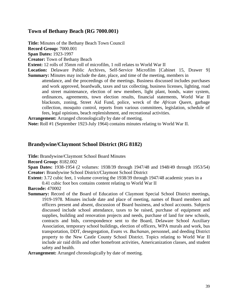## **Town of Bethany Beach (RG 7000.001)**

**Title:** Minutes of the Bethany Beach Town Council **Record Group:** 7000.001 **Span Dates:** 1923-1997 **Creator:** Town of Bethany Beach

**Extent:** 12 rolls of 35mm roll of microfilm, 1 roll relates to World War II

**Location:** Delaware Public Archives, Self-Service Microfilm [Cabinet 15, Drawer 9] **Summary:** Minutes may include the date, place, and time of the meeting, members in

attendance, and the proceedings of the meetings. Business discussed includes purchases and work approved, boardwalk, taxes and tax collecting, business licenses, lighting, road and street maintenance, election of new members, light plant, bonds, water system, ordinances, agreements, town election results, financial statements, World War II blackouts, zoning, Street Aid Fund, police, wreck of the *African Queen*, garbage collection, mosquito control, reports from various committees, legislation, schedule of fees, legal opinions, beach replenishment, and recreational activities.

**Arrangement:** Arranged chronologically by date of meeting.

**Note:** Roll #1 (September 1923-July 1964) contains minutes relating to World War II.

# **Brandywine/Claymont School District (RG 8182)**

**Title:** Brandywine/Claymont School Board Minutes

**Record Group:** 8182.002

**Span Dates:** 1938-1954 (2 volumes: 1938/39 through 1947/48 and 1948/49 through 1953/54) **Creator:** Brandywine School District/Claymont School District

**Extent:** 3.72 cubic feet, 1 volume covering the 1938/39 through 1947/48 academic years in a

0.41 cubic foot box contains content relating to World War II

**Barcode:** 470002

**Summary:** Record of the Board of Education of Claymont Special School District meetings, 1919-1978. Minutes include date and place of meeting, names of Board members and officers present and absent, discussion of Board business, and school accounts. Subjects discussed include school attendance, taxes to be raised, purchase of equipment and supplies, building and renovation projects and needs, purchase of land for new schools, contracts and bids, correspondence sent to the Board, Delaware School Auxiliary Association, temporary school buildings, election of officers, WPA murals and work, bus transportation, DDT, desegregation, *Evans vs. Buchanan*, personnel, and deeding District property to the New Castle County School District. Topics relating to World War II include air raid drills and other homefront activities, Americanization classes, and student safety and health.

**Arrangement:** Arranged chronologically by date of meeting.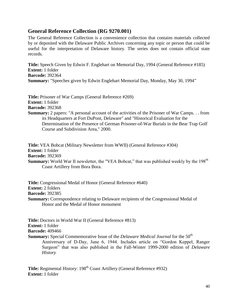# **General Reference Collection (RG 9270.001)**

The General Reference Collection is a convenience collection that contains materials collected by or deposited with the Delaware Public Archives concerning any topic or person that could be useful for the interpretation of Delaware history. The series does not contain official state records.

**Title:** Speech Given by Edwin F. Englehart on Memorial Day, 1994 (General Reference #185) **Extent:** 1 folder **Barcode:** 392364 **Summary:** "Speeches given by Edwin Englehart Memorial Day, Monday, May 30, 1994"

**Title:** Prisoner of War Camps (General Reference #269) **Extent:** 1 folder **Barcode:** 392368

**Summary:** 2 papers: "A personal account of the activities of the Prisoner of War Camps. . . from its Headquarters at Fort DuPont, Delaware" and "Historical Evaluation for the Determination of the Presence of German Prisoner-of-War Burials in the Bear Trap Golf Course and Subdivision Area," 2000.

**Title:** VEA Bobcat (Military Newsletter from WWII) (General Reference #304) **Extent:** 1 folder **Barcode:** 392369 **Summary:** World War II newsletter, the "VEA Bobcat," that was published weekly by the 198<sup>th</sup> Coast Artillery from Bora Bora.

**Title:** Congressional Medal of Honor (General Reference #640) **Extent:** 2 folders **Barcode:** 392385 **Summary:** Correspondence relating to Delaware recipients of the Congressional Medal of Honor and the Medal of Honor monument

**Title:** Doctors in World War II (General Reference #813) **Extent:** 1 folder **Barcode:** 409466 **Summary:** Special Commemorative Issue of the *Delaware Medical Journal* for the 50<sup>th</sup> Anniversary of D-Day, June 6, 1944. Includes article on "Gordon Keppel, Ranger Surgeon" that was also published in the Fall-Winter 1999-2000 edition of *Delaware History*

**Title:** Regimental History: 198<sup>th</sup> Coast Artillery (General Reference #932) **Extent:** 1 folder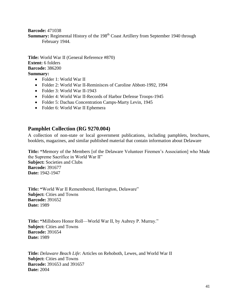**Barcode:** 471038

**Summary:** Regimental History of the 198<sup>th</sup> Coast Artillery from September 1940 through February 1944.

**Title:** World War II (General Reference #870) **Extent:** 6 folders **Barcode:** 386200 **Summary:** 

- Folder 1: World War II
- Folder 2: World War II-Reminisces of Caroline Abbott-1992, 1994
- Folder 3: World War II-1943
- Folder 4: World War II-Records of Harbor Defense Troops-1945
- Folder 5: Dachau Concentration Camps-Marty Levin, 1945
- Folder 6: World War II Ephemera

## **Pamphlet Collection (RG 9270.004)**

A collection of non-state or local government publications, including pamphlets, brochures, booklets, magazines, and similar published material that contain information about Delaware

**Title: "**Memory of the Members [of the Delaware Volunteer Firemen's Association] who Made the Supreme Sacrifice in World War II" **Subject:** Societies and Clubs **Barcode:** 391677 **Date:** 1942-1947

**Title: "**World War II Remembered, Harrington, Delaware" **Subject: Cities and Towns Barcode:** 391652 **Date:** 1989

**Title: "**Millsboro Honor Roll—World War II, by Aubrey P. Murray." **Subject: Cities and Towns Barcode:** 391654 **Date:** 1989

**Title:** *Delaware Beach Life*: Articles on Rehoboth, Lewes, and World War II **Subject:** Cities and Towns **Barcode:** 391653 and 391657 **Date:** 2004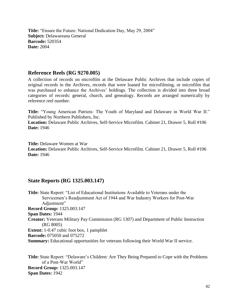**Title:** "Ensure the Future: National Dedication Day, May 29, 2004" **Subject:** Delawareana General **Barcode:** 520354 **Date:** 2004

## **Reference Reels (RG 9270.005)**

A collection of records on microfilm at the Delaware Public Archives that include copies of original records in the Archives, records that were loaned for microfilming, or microfilm that was purchased to enhance the Archives' holdings. The collection is divided into three broad categories of records: general, church, and genealogy. Records are arranged numerically by reference reel number.

**Title:** "Young American Patriots: The Youth of Maryland and Delaware in World War II." Published by Northern Publishers, Inc.

**Location:** Delaware Public Archives, Self-Service Microfilm. Cabinet 21, Drawer 5, Roll #106 **Date:** 1946

**Title:** Delaware Women at War

**Location:** Delaware Public Archives, Self-Service Microfilm. Cabinet 21, Drawer 5, Roll #106 **Date:** 1946

# **State Reports (RG 1325.003.147)**

**Title:** State Report: "List of Educational Institutions Available to Veterans under the Servicemen's Readjustment Act of 1944 and War Industry Workers for Post-War Adjustment" **Record Group:** 1325.003.147 **Span Dates:** 1944 **Creator:** Veterans Military Pay Commission (RG 1307) and Department of Public Instruction (RG 8005) **Extent:** 1-0.47 cubic foot box, 1 pamphlet **Barcode:** 075050 and 075272 **Summary:** Educational opportunities for veterans following their World War II service.

**Title:** State Report: "Delaware's Children: Are They Being Prepared to Cope with the Problems of a Post-War World" **Record Group:** 1325.003.147 **Span Dates:** 1942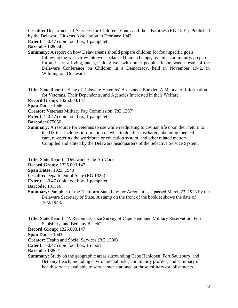**Creator:** Department of Services for Children, Youth and their Families (RG 1501), Published by the Delaware Citizens Association in February 1943.

**Extent:** 1-0.47 cubic foot box, 1 pamphlet

**Barcode:** 138024

**Summary:** A report on how Delawareans should prepare children for four specific goals following the war: Grow into well-balanced human beings, live in a community, prepare for and earn a living, and get along well with other people. Report was a result of the Delaware Conference on Children in a Democracy, held in November 1942, in Wilmington, Delaware.

**Title:** State Report: "State of Delaware Veterans' Assistance Booklet: A Manual of Information for Veterans, Their Dependents, and Agencies Interested in their Welfare"

**Record Group:** 1325.003.147

**Span Dates:** 1946

- **Creator:** Veterans Military Pay Commission (RG 1307)
- **Extent:** 1-0.47 cubic foot box, 1 pamphlet

**Barcode:** 075050

**Summary:** A resource for veterans to use while readjusting to civilian life upon their return to the US that includes information on what to do after discharge, obtaining medical care, re-entering the workforce or education system, and other related matters. Compiled and edited by the Delaware headquarters of the Selective Service System.

**Title:** State Report: "Delaware State Air Code"

**Record Group:** 1325.003.147

**Span Dates:** 1923, 1943

**Creator:** Department of State (RG 1325)

**Extent:** 1-0.47 cubic foot box, 1 pamphlet

**Barcode:** 131516

**Summary:** Pamphlet of the "Uniform State Law for Aeronautics," passed March 23, 1923 by the Delaware Secretary of State. A stamp on the front of the booklet shows the date of 10/2/1943.

**Title:** State Report: "A Reconnaissance Survey of Cape Henlopen Military Reservation, Fort Saulsbury, and Bethany Beach"

**Record Group:** 1325.003.147

**Span Dates:** 1941

**Creator:** Health and Social Services (RG 1500)

**Extent:** 1-0.47 cubic foot box, 1 report

**Barcode:** 138021

**Summary:** Study on the geographic areas surrounding Cape Henlopen, Fort Saulsbury, and Bethany Beach, including environmental risks, community profiles, and summary of health services available to servicemen stationed at those military establishments.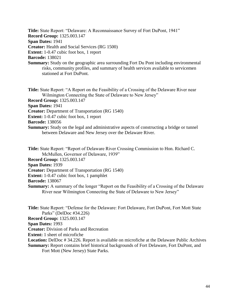**Title:** State Report: "Delaware: A Reconnaissance Survey of Fort DuPont, 1941" **Record Group:** 1325.003.147 **Span Dates:** 1941 **Creator:** Health and Social Services (RG 1500) **Extent:** 1-0.47 cubic foot box, 1 report **Barcode:** 138021 **Summary:** Study on the geographic area surrounding Fort Du Pont including environmental risks, community profiles, and summary of health services available to servicemen stationed at Fort DuPont. **Title:** State Report: "A Report on the Feasibility of a Crossing of the Delaware River near

Wilmington Connecting the State of Delaware to New Jersey" **Record Group:** 1325.003.147 **Span Dates:** 1941 **Creator:** Department of Transportation (RG 1540) **Extent:** 1-0.47 cubic foot box, 1 report **Barcode:** 138056 **Summary:** Study on the legal and administrative aspects of constructing a bridge or tunnel between Delaware and New Jersey over the Delaware River.

**Title:** State Report: "Report of Delaware River Crossing Commission to Hon. Richard C. McMullen, Governor of Delaware, 1939"

**Record Group:** 1325.003.147

**Span Dates:** 1939

**Creator:** Department of Transportation (RG 1540)

**Extent:** 1-0.47 cubic foot box, 1 pamphlet

**Barcode:** 138067

**Summary:** A summary of the longer "Report on the Feasibility of a Crossing of the Delaware River near Wilmington Connecting the State of Delaware to New Jersey"

**Title:** State Report: "Defense for the Delaware: Fort Delaware, Fort DuPont, Fort Mott State Parks" (DelDoc #34.226)

**Record Group:** 1325.003.147

**Span Dates:** 1993

**Creator:** Division of Parks and Recreation

**Extent:** 1 sheet of microfiche

Location: DelDoc # 34.226. Report is available on microfiche at the Delaware Public Archives

**Summary:** Report contains brief historical backgrounds of Fort Delaware, Fort DuPont, and Fort Mott (New Jersey) State Parks.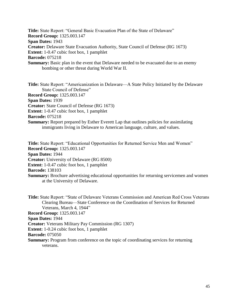**Title:** State Report: "General Basic Evacuation Plan of the State of Delaware" **Record Group:** 1325.003.147 **Span Dates:** 1943 **Creator:** Delaware State Evacuation Authority, State Council of Defense (RG 1673) **Extent:** 1-0.47 cubic foot box, 1 pamphlet **Barcode:** 075218 **Summary:** Basic plan in the event that Delaware needed to be evacuated due to an enemy bombing or other threat during World War II.

**Title:** State Report: "Americanization in Delaware—A State Policy Initiated by the Delaware State Council of Defense" **Record Group:** 1325.003.147

**Span Dates:** 1939

**Creator:** State Council of Defense (RG 1673)

**Extent:** 1-0.47 cubic foot box, 1 pamphlet

**Barcode:** 075218

**Summary:** Report prepared by Esther Everett Lap that outlines policies for assimilating immigrants living in Delaware to American language, culture, and values.

**Title:** State Report: "Educational Opportunities for Returned Service Men and Women" **Record Group:** 1325.003.147 **Span Dates:** 1944 **Creator:** University of Delaware (RG 8500) **Extent:** 1-0.47 cubic foot box, 1 pamphlet **Barcode:** 138103 **Summary:** Brochure advertising educational opportunities for returning servicemen and women at the University of Delaware.

**Title:** State Report: "State of Delaware Veterans Commission and American Red Cross Veterans Clearing Bureau—State Conference on the Coordination of Services for Returned Veterans, March 4, 1944" **Record Group:** 1325.003.147 **Span Dates:** 1944 **Creator:** Veterans Military Pay Commission (RG 1307) **Extent:** 1-0.24 cubic foot box, 1 pamphlet **Barcode:** 075050 **Summary:** Program from conference on the topic of coordinating services for returning veterans.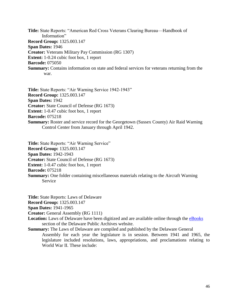**Title:** State Reports: "American Red Cross Veterans Clearing Bureau—Handbook of Information" **Record Group:** 1325.003.147 **Span Dates:** 1946 **Creator:** Veterans Military Pay Commission (RG 1307) **Extent:** 1-0.24 cubic foot box, 1 report **Barcode:** 075050 **Summary:** Contains information on state and federal services for veterans returning from the war.

**Title:** State Reports: "Air Warning Service 1942-1943" **Record Group:** 1325.003.147 **Span Dates:** 1942 **Creator:** State Council of Defense (RG 1673) **Extent:** 1-0.47 cubic foot box, 1 report **Barcode:** 075218 **Summary:** Roster and service record for the Georgetown (Sussex County) Air Raid Warning Control Center from January through April 1942.

**Title:** State Reports: "Air Warning Service" **Record Group:** 1325.003.147 **Span Dates:** 1942-1943 **Creator:** State Council of Defense (RG 1673) **Extent:** 1-0.47 cubic foot box, 1 report **Barcode:** 075218 **Summary:** One folder containing miscellaneous materials relating to the Aircraft Warning Service

**Title:** State Reports: Laws of Delaware **Record Group:** 1325.003.147

**Span Dates:** 1941-1965

**Creator:** General Assembly (RG 1111)

**Location:** Laws of Delaware have been digitized and are available online through the [eBooks](http://archives.delaware.gov/eBooks/lawsofdelaware.shtml) section of the Delaware Public Archives website.

**Summary:** The Laws of Delaware are compiled and published by the Delaware General Assembly for each year the legislature is in session. Between 1941 and 1965, the legislature included resolutions, laws, appropriations, and proclamations relating to World War II. These include: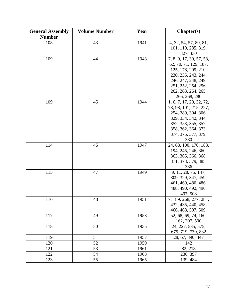| <b>General Assembly</b> | <b>Volume Number</b> | Year | Chapter(s)                                 |
|-------------------------|----------------------|------|--------------------------------------------|
| <b>Number</b>           |                      |      |                                            |
| 108                     | 43                   | 1941 | 4, 32, 54, 57, 80, 81,                     |
|                         |                      |      | 101, 110, 285, 319,                        |
|                         |                      |      | 327, 330                                   |
| 109                     | 44                   | 1943 | 7, 8, 9, 17, 30, 57, 58,                   |
|                         |                      |      | 62, 70, 71, 129, 187,                      |
|                         |                      |      | 125, 178, 209, 210,                        |
|                         |                      |      | 230, 235, 243, 244,                        |
|                         |                      |      | 246, 247, 248, 249,                        |
|                         |                      |      | 251, 252, 254, 256,                        |
|                         |                      |      | 262, 263, 264, 265,                        |
|                         |                      |      | 266, 268, 280                              |
| 109                     | 45                   | 1944 | 1, 6, 7, 17, 20, 32, 72,                   |
|                         |                      |      | 73, 98, 101, 215, 227,                     |
|                         |                      |      | 254, 289, 304, 306,                        |
|                         |                      |      | 329, 334, 342, 344,                        |
|                         |                      |      | 352, 353, 355, 357,                        |
|                         |                      |      | 358, 362, 364, 373,                        |
|                         |                      |      | 374, 375, 377, 379,                        |
|                         |                      |      | 380                                        |
| 114                     | 46                   | 1947 | 24, 68, 100, 170, 188,                     |
|                         |                      |      | 194, 245, 246, 360,                        |
|                         |                      |      | 363, 365, 366, 368,                        |
|                         |                      |      | 371, 373, 379, 385,                        |
|                         |                      |      | 386                                        |
| 115                     | 47                   | 1949 | 9, 11, 28, 75, 147,                        |
|                         |                      |      | 309, 329, 347, 459,<br>461, 469, 480, 486, |
|                         |                      |      | 488, 490, 492, 496,                        |
|                         |                      |      | 497, 508                                   |
| 116                     | 48                   | 1951 | 7, 189, 268, 277, 281,                     |
|                         |                      |      | 432, 435, 440, 458,                        |
|                         |                      |      | 466, 468, 507, 509,                        |
| 117                     | 49                   | 1953 | 52, 68, 69, 74, 160,                       |
|                         |                      |      | 162, 207, 500                              |
| 118                     | 50                   | 1955 | 24, 227, 535, 575,                         |
|                         |                      |      | 675, 719, 739, 832                         |
| 119                     | 51                   | 1957 | 28, 67, 390, 447                           |
| 120                     | 52                   | 1959 | 142                                        |
| 121                     | 53                   | 1961 | 82, 218                                    |
| 122                     | 54                   | 1963 | 236, 397                                   |
| 123                     | 55                   | 1965 | 139, 484                                   |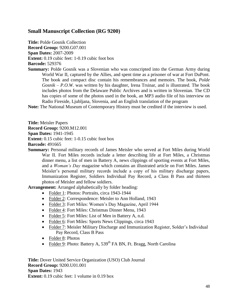# **Small Manuscript Collection (RG 9200)**

**Title:** Polde Gosnik Collection **Record Group:** 9200.G07.001 **Span Dates:** 2007-2009 **Extent:** 0.19 cubic feet: 1-0.19 cubic foot box **Barcode:** 529376

**Summary:** Polde Gosnik was a Slovenian who was conscripted into the German Army during World War II, captured by the Allies, and spent time as a prisoner of war at Fort DuPont. The book and compact disc contain his remembrances and memoirs. The book, *Polde Gosnik – P.O.W.* was written by his daughter, Irena Trsinar, and is illustrated. The book includes photos from the Delaware Public Archives and is written in Slovenian. The CD has copies of some of the photos used in the book, an MP3 audio file of his interview on Radio Fireside, Ljubljana, Slovenia, and an English translation of the program

**Note:** The National Museum of Contemporary History must be credited if the interview is used.

**Title:** Meisler Papers **Record Group:** 9200.M12.001 **Span Dates:** 1941-1945 **Extent:** 0.15 cubic feet: 1-0.15 cubic foot box **Barcode:** 491665

**Summary:** Personal military records of James Meisler who served at Fort Miles during World War II. Fort Miles records include a letter describing life at Fort Miles, a Christmas dinner menu, a list of men in Battery A, news clippings of sporting events at Fort Miles, and a *Woman's Day* magazine which contains an illustrated article on Fort Miles. James Meisler's personal military records include a copy of his military discharge papers, Immunization Register, Soldiers Individual Pay Record, a Class B Pass and thirteen photos of Meisler and fellow soldiers.

**Arrangement:** Arranged alphabetically by folder heading:

- Folder 1: Photos: Portraits, circa 1943-1944
- Folder 2: Correspondence: Meisler to Ann Holland, 1943
- Folder 3: Fort Miles: Women's Day Magazine, April 1944
- Folder 4: Fort Miles: Christmas Dinner Menu, 1943
- Folder 5: Fort Miles: List of Men in Battery A, n.d.
- Folder 6: Fort Miles: Sports News Clippings, circa 1943
- Folder 7: Meisler Military Discharge and Immunization Register, Solder's Individual Pay Record, Class B Pass
- Folder 8: Photos
- Folder 9: Photo: Battery A,  $539<sup>th</sup>$  FA BN, Ft. Bragg, North Carolina

**Title:** Dover United Service Organization (USO) Club Journal **Record Group:** 9200.U01.001 **Span Dates:** 1943 **Extent:** 0.19 cubic feet: 1 volume in 0.19 box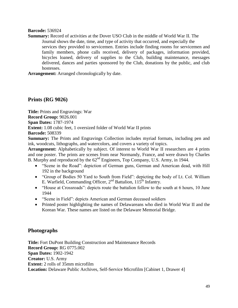#### **Barcode:** 536924

**Summary:** Record of activities at the Dover USO Club in the middle of World War II. The Journal shows the date, time, and type of activity that occurred, and especially the services they provided to servicemen. Entries include finding rooms for servicemen and family members, phone calls received, delivery of packages, information provided, bicycles loaned, delivery of supplies to the Club, building maintenance, messages delivered, dances and parties sponsored by the Club, donations by the public, and club hostesses.

**Arrangement:** Arranged chronologically by date.

## **Prints (RG 9026)**

**Title:** Prints and Engravings: War **Record Group:** 9026.001 **Span Dates:** 1787-1974 **Extent:** 1.08 cubic feet, 1 oversized folder of World War II prints **Barcode:** 508339

**Summary:** The Prints and Engravings Collection includes myriad formats, including pen and ink, woodcuts, lithographs, and watercolors, and covers a variety of topics.

**Arrangement:** Alphabetically by subject. Of interest to World War II researchers are 4 prints and one poster. The prints are scenes from near Normandy, France, and were drawn by Charles B. Murphy and reproduced by the 62<sup>nd</sup> Engineers, Top Company, U.S. Army, in 1944.

- "Scene in the Road": depiction of German guns, German and American dead, with Hill 192 in the background
- "Group of Bodies 50 Yard to South from Field": depicting the body of Lt. Col. William E. Warfield, Commanding Officer,  $2<sup>nd</sup>$  Battalion,  $115<sup>th</sup>$  Infantry.
- "House at Crossroads": depicts route the battalion follow to the south at 6 hours, 10 June 1944
- "Scene in Field": depicts American and German deceased soldiers
- Printed poster highlighting the names of Delawareans who died in World War II and the Korean War. These names are listed on the Delaware Memorial Bridge.

## **Photographs**

**Title:** Fort DuPont Building Construction and Maintenance Records **Record Group:** RG 0775.002 **Span Dates:** 1902-1942 **Creator:** U.S. Army **Extent:** 2 rolls of 35mm microfilm **Location:** Delaware Public Archives, Self-Service Microfilm [Cabinet 1, Drawer 4]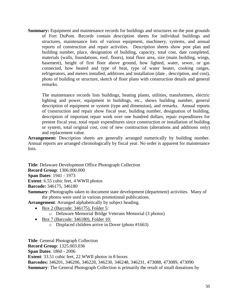**Summary:** Equipment and maintenance records for buildings and structures on the post grounds of Fort DuPont. Records contain description sheets for individual buildings and structures, maintenance lists of various equipment, machinery, systems, and annual reports of construction and repair activities. Description sheets show post plan and building number, place, designation of building, capacity, total cost, date completed, materials (walls, foundations, roof, floors), total floor area, size (main building, wings, basement), height of first floor above ground, how lighted, water, sewer, or gas connected, how heated and type of heat, type of water heater, cooking ranges, refrigerators, and meters installed, additions and installation (date , description, and cost), photo of building or structure, sketch of floor plans with construction details and general remarks.

The maintenance records lists buildings, heating plants, utilities, transformers, electric lighting and power, equipment in buildings, etc., shows building number, general description of equipment or system (type and dimension), and remarks. Annual reports of construction and repair show fiscal year, building number, designation of building, description of important repair work over one hundred dollars, repair expenditures for present fiscal year, total repair expenditures since construction or installation of building or system, total original cost, cost of new construction (alterations and additions only) and replacement value.

Arrangement: Description sheets are generally arranged numerically by building number. Annual reports are arranged chronologically by fiscal year. No order is apparent for maintenance lists.

**Title**: Delaware Development Office Photograph Collection

**Record Group**: 1306.000.000

**Span Dates**: 1941 - 1973

**Extent**: 6.55 cubic feet, 4 WWII photos

**Barcode:** 346175, 346180

**Summary**: Photographs taken to document state development (department) activities. Many of the photos were used in various promotional publications.

**Arrangement**: Arranged alphabetically by subject heading.

- Box 2 (Barcode: 346175), Folder 5:
	- o Delaware Memorial Bridge Veterans Memorial (3 photos)
- Box 7 (Barcode: 346180), Folder 10:
	- o Displaced children arrive in Dover (photo #1663)

**Title**: General Photograph Collection **Record Group**: 1325.003.036 **Span Dates**: 1860 - 2006 **Extent**: 33.51 cubic feet, 22 WWII photos in 8 boxes **Barcodes:** 346201, 346206, 346228, 346230, 346248, 346231, 473088, 473089, 473090 **Summary:** The General Photograph Collection is primarily the result of small donations by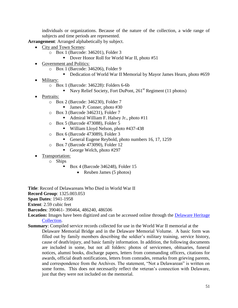individuals or organizations. Because of the nature of the collection, a wide range of subjects and time periods are represented.

**Arrangement**: Arranged alphabetically by subject.

- City and Town Scenes:
	- o Box 1 (Barcode: 346201), Folder 3
		- Dover Honor Roll for World War II, photo #51
- Government and Politics:
	- o Box 1 (Barcode: 346206), Folder 9
		- Dedication of World War II Memorial by Mayor James Hearn, photo #659
- Military:
	- o Box 1 (Barcode: 346228): Folders 6-6b
		- Navy Relief Society, Fort DuPont,  $261<sup>st</sup>$  Regiment (11 photos)
- Portraits:
	- o Box 2 (Barcode: 346230), Folder 7
		- James P. Conner, photo #30
	- o Box 3 (Barcode 346231), Folder 7
		- Admiral William F. Halsey Jr., photo #11
	- o Box 5 (Barcode 473088), Folder 5
		- William Lloyd Nelson, photo #437-438
	- o Box 6 (Barcode 473089), Folder 3
		- General Eugene Reybold, photo numbers 16, 17, 1259
	- o Box 7 (Barcode 473090), Folder 12
		- George Welch, photo  $\#297$
- Transportation:
	- o Ships
		- Box 4 (Barcode 346248), Folder 15
			- Reuben James (5 photos)

**Title**: Record of Delawareans Who Died in World War II

**Record Group**: 1325.003.053

**Span Dates**: 1941-1958

**Extent**: 2.59 cubic feet

**Barcodes**: 390461- 390464, 486240, 486506

Location: Images have been digitized and can be accessed online through the Delaware Heritage [Collection.](http://cdm16397.contentdm.oclc.org/cdm/search/collection/p15323coll6/searchterm/Record%20of%20Delawareans%20Who%20Died%20in%20World%20War%20II/order/nosort)

**Summary**: Compiled service records collected for use in the World War II memorial at the Delaware Memorial Bridge and in the Delaware Memorial Volume. A basic form was filled out by family members describing the soldier's military training, service history, cause of death/injury, and basic family information. In addition, the following documents are included in some, but not all folders: photos of servicemen, obituaries, funeral notices, alumni books, discharge papers, letters from commanding officers, citations for awards, official death notifications, letters from comrades, remarks from grieving parents, and correspondence from the Archives. The statement, "Not a Delawarean" is written on some forms. This does not necessarily reflect the veteran's connection with Delaware, just that they were not included on the memorial.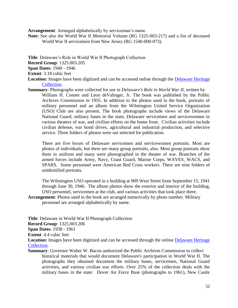**Arrangement**: Arranged alphabetically by serviceman's name.

**Note:** See also the World War II Memorial Volume (RG 1325-003-217) and a list of deceased World War II servicemen from New Jersey (RG 1540-000-073).

**Title**: Delaware's Role in World War II Photograph Collection

**Record Group**: 1325.003.205

**Span Dates**: 1940 - 1946

**Extent**: 3.18 cubic feet

- Location: Images have been digitized and can be accessed online through the **Delaware Heritage** [Collection.](http://cdm16397.contentdm.oclc.org/cdm/search/collection/p15323coll6/searchterm/Delaware%27s%20Role%20in%20World%20War%20II/order/nosort)
- **Summary**: Photographs were collected for use in *Delaware's Role in World War II*, written by William H. Conner and Leon deValinger, Jr. The book was published by the Public Archives Commission in 1955. In addition to the photos used in the book, portraits of military personnel and an album from the Wilmington United Service Organization (USO) Club are also present. The book photographs include views of the Delaware National Guard, military bases in the state, Delaware servicemen and servicewomen in various theaters of war, and civilian efforts on the home front. Civilian activities include civilian defense, war bond drives, agricultural and industrial production, and selective service. Three folders of photos were not selected for publication.

There are five boxes of Delaware servicemen and servicewomen portraits. Most are photos of individuals, but there are many group portraits, also. Most group portraits show them in uniform and many were photographed in the theater of war. Branches of the armed forces include Army, Navy, Coast Guard, Marine Corps, WAVES, WACS, and SPARS. Some personnel were American Red Cross workers. There are nine folders of unidentified portraits.

The Wilmington USO operated in a building at 909 West Street from September 15, 1941 through June 30, 1946. The album photos show the exterior and interior of the building, USO personnel, servicemen at the club, and various activities that took place there.

**Arrangement**: Photos used in the book are arranged numerically by photo number. Military personnel are arranged alphabetically by name.

**Title**: Delaware in World War II Photograph Collection

**Record Group**: 1325.003.206

**Span Dates**: 1938 - 1961

**Extent**: 4.4 cubic feet

**Location:** Images have been digitized and can be accessed through the online [Delaware Heritage](http://cdm16397.contentdm.oclc.org/cdm/search/collection/p15323coll6/searchterm/delaware%20in%20World%20War%20II/field/collec/mode/exact/conn/and/cosuppress/)  [Collection.](http://cdm16397.contentdm.oclc.org/cdm/search/collection/p15323coll6/searchterm/delaware%20in%20World%20War%20II/field/collec/mode/exact/conn/and/cosuppress/)

**Summary**: Governor Walter W. Bacon authorized the Public Archives Commission to collect historical materials that would document Delaware's participation in World War II. The photographs they obtained document the military bases, servicemen, National Guard activities, and various civilian war efforts. Over 25% of the collection deals with the military bases in the state: Dover Air Force Base (photographs to 1961), New Castle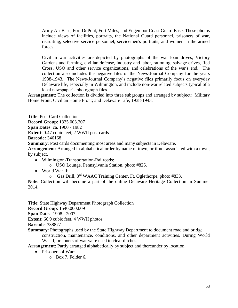Army Air Base, Fort DuPont, Fort Miles, and Edgemoor Coast Guard Base. These photos include views of facilities, portraits, the National Guard personnel, prisoners of war, recruiting, selective service personnel, servicemen's portraits, and women in the armed forces.

Civilian war activities are depicted by photographs of the war loan drives, Victory Gardens and farming, civilian defense, industry and labor, rationing, salvage drives, Red Cross, USO and other service organizations, and celebrations of the war's end. The collection also includes the negative files of the News-Journal Company for the years 1938-1943. The News-Journal Company's negative files primarily focus on everyday Delaware life, especially in Wilmington, and include non-war related subjects typical of a local newspaper's photograph files.

**Arrangement**: The collection is divided into three subgroups and arranged by subject: Military Home Front; Civilian Home Front; and Delaware Life, 1938-1943.

**Title**: Post Card Collection **Record Group**: 1325.003.207 **Span Dates**: ca. 1900 - 1982 **Extent**: 0.47 cubic feet, 2 WWII post cards **Barcode:** 346168

**Summary:** Post cards documenting most areas and many subjects in Delaware.

**Arrangement**: Arranged in alphabetical order by name of town, or if not associated with a town, by subject.

- Wilmington-Transportation-Railroads:
	- o USO Lounge, Pennsylvania Station, photo #826.
- World War II:
	- o Gas Drill, 3rd WAAC Training Center, Ft. Oglethorpe, photo #833.

**Note:** Collection will become a part of the online Delaware Heritage Collection in Summer 2014.

**Title**: State Highway Department Photograph Collection **Record Group**: 1540.000.009 **Span Dates**: 1908 - 2007 **Extent**: 66.9 cubic feet, 4 WWII photos **Barcode**: 338877 **Summary**: Photographs used by the State Highway Department to document road and bridge

construction, maintenance, conditions, and other department activities. During World War II, prisoners of war were used to clear ditches.

**Arrangement**: Partly arranged alphabetically by subject and thereunder by location.

- Prisoners of War:
	- o Box 7, Folder 6.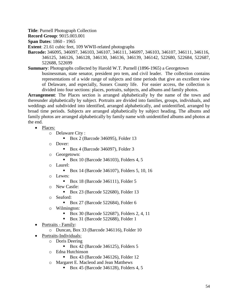**Title**: Purnell Photograph Collection

**Record Group**: 9015.003.001

**Span Dates**: 1860 - 1965

**Extent**: 21.61 cubic feet, 109 WWII-related photographs

**Barcode:** 346095, 346097, 346103, 346107, 346111, 346097, 346103, 346107, 346111, 346116, 346125, 346126, 346128, 346130, 346136, 346139, 346142, 522680, 522684, 522687, 522688, 522699

**Summary**: Photographs collected by Harold W.T. Purnell (1896-1965) a Georgetown

businessman, state senator, president pro tem, and civil leader. The collection contains representations of a wide range of subjects and time periods that give an excellent view of Delaware, and especially, Sussex County life. For easier access, the collection is divided into four sections: places, portraits, subjects, and albums and family photos.

**Arrangement**: The Places section is arranged alphabetically by the name of the town and thereunder alphabetically by subject. Portraits are divided into families, groups, individuals, and weddings and subdivided into identified, arranged alphabetically, and unidentified, arranged by broad time periods. Subjects are arranged alphabetically by subject heading. The albums and family photos are arranged alphabetically by family name with unidentified albums and photos at the end.

• Places:

o Delaware City :

- Box 2 (Barcode 346095), Folder 13
- o Dover:
	- Box 4 (Barcode 346097), Folder 3
- o Georgetown:
	- Box 10 (Barcode 346103), Folders 4, 5
- o Laurel:
	- Box 14 (Barcode 346107), Folders 5, 10, 16
- o Lewes:
	- Box 18 (Barcode 346111), Folder 5
- o New Castle:
	- Box 23 (Barcode 522680), Folder 13
- o Seaford:
	- Box 27 (Barcode 522684), Folder 6
- o Wilmington:
	- Box 30 (Barcode 522687), Folders 2, 4, 11
	- Box 31 (Barcode 522688), Folder 1
- Portraits Family:
	- o Duncan, Box 33 (Barcode 346116), Folder 10
- Portraits-Individuals:
	- o Doris Deering
		- Box 42 (Barcode 346125), Folders 5
	- o Edna Hutchinson
		- Box 43 (Barcode 346126), Folder 12
	- o Margaret E. Macleod and Jean Matthews
		- Box 45 (Barcode 346128), Folders 4, 5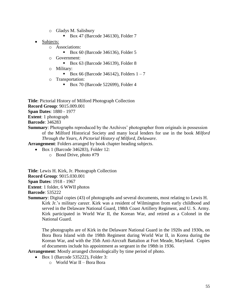- o Gladys M. Salisbury
	- Box 47 (Barcode 346130), Folder 7
- Subjects:
	- o Associations:
		- Box 60 (Barcode 346136), Folder 5
	- o Government:
		- Box 63 (Barcode 346139), Folder 8
	- o Military:
		- Box 66 (Barcode 346142), Folders  $1 7$
	- o Transportation:
		- Box 70 (Barcode 522699), Folder 4

**Title**: Pictorial History of Milford Photograph Collection **Record Group**: 9015.009.001 **Span Dates**: 1880 - 1977 **Extent**: 1 photograph **Barcode**: 346283 **Summary**: Photographs reproduced by the Archives' photographer from originals in possession of the Milford Historical Society and many local lenders for use in the book *Milford* 

*Through the Years, A Pictorial History of Milford, Delaware.*

**Arrangement**: Folders arranged by book chapter heading subjects.

- Box 1 (Barcode 346283), Folder 12:
	- o Bond Drive, photo #79

**Title**: Lewis H. Kirk, Jr. Photograph Collection **Record Group**: 9015.030.001 **Span Dates**: 1918 - 1967 **Extent**: 1 folder, 6 WWII photos

**Barcode**: 535222

**Summary**: Digital copies (43) of photographs and several documents, most relating to Lewis H. Kirk Jr.'s military career. Kirk was a resident of Wilmington from early childhood and served in the Delaware National Guard, 198th Coast Artillery Regiment, and U. S. Army. Kirk participated in World War II, the Korean War, and retired as a Colonel in the National Guard.

The photographs are of Kirk in the Delaware National Guard in the 1920s and 1930s, on Bora Bora Island with the 198th Regiment during World War II, in Korea during the Korean War, and with the 35th Anti-Aircraft Battalion at Fort Meade, Maryland. Copies of documents include his appointment as sergeant in the 198th in 1936.

**Arrangement**: Mostly arranged chronologically by time period of photo.

- Box 1 (Barcode 535222), Folder 3:
	- o World War II Bora Bora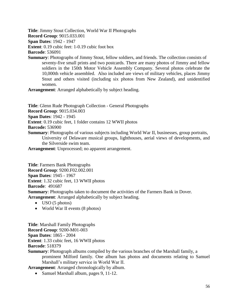**Title**: Jimmy Stout Collection, World War II Photographs **Record Group**: 9015.033.001 **Span Dates**: 1942 - 1947 **Extent**: 0.19 cubic feet: 1-0.19 cubic foot box **Barcode**: 536091

**Summary**: Photographs of Jimmy Stout, fellow soldiers, and friends. The collection consists of seventy-five small prints and two postcards. There are many photos of Jimmy and fellow soldiers in the 150th Motor Vehicle Assembly Company. Several photos celebrate the 10,000th vehicle assembled. Also included are views of military vehicles, places Jimmy Stout and others visited (including six photos from New Zealand), and unidentified women.

**Arrangement**: Arranged alphabetically by subject heading.

**Title**: Glenn Rude Photograph Collection - General Photographs

**Record Group**: 9015.034.003

**Span Dates**: 1942 - 1945

**Extent**: 0.19 cubic feet, 1 folder contains 12 WWII photos

**Barcode:** 536900

- **Summary**: Photographs of various subjects including World War II, businesses, group portraits, University of Delaware musical groups, lighthouses, aerial views of developments, and the Silverside swim team.
- **Arrangement**: Unprocessed; no apparent arrangement.

**Title**: Farmers Bank Photographs **Record Group**: 9200.F02.002.001 **Span Dates**: 1945 - 1967 **Extent**: 1.32 cubic feet, 13 WWII photos **Barcode**: 491687 **Summary**: Photographs taken to document the activities of the Farmers Bank in Dover. **Arrangement**: Arranged alphabetically by subject heading.

- $\bullet$  USO (5 photos)
- World War II events (8 photos)

**Title**: Marshall Family Photographs **Record Group**: 9200-M01-003 **Span Dates**: 1865 - 2004 **Extent**: 1.33 cubic feet, 16 WWII photos **Barcode**: 518379

**Summary**: Photograph albums compiled by the various branches of the Marshall family, a prominent Milford family. One album has photos and documents relating to Samuel Marshall's military service in World War II.

**Arrangement**: Arranged chronologically by album.

• Samuel Marshall album, pages 9, 11-12.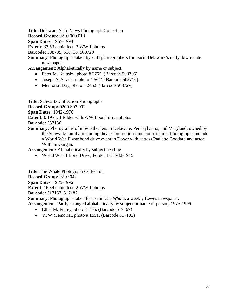**Title**: Delaware State News Photograph Collection

**Record Group**: 9210.000.013

**Span Dates**: 1965-1998

**Extent**: 37.53 cubic feet, 3 WWII photos

**Barcode:** 508705, 508716, 508729

**Summary**: Photographs taken by staff photographers for use in Delaware's daily down-state newspaper.

**Arrangement**: Alphabetically by name or subject.

- Peter M. Kalasky, photo  $\#2765$  (Barcode 508705)
- Joseph S. Strachar, photo  $#5611$  (Barcode 508716)
- Memorial Day, photo  $\#2452$  (Barcode 508729)

**Title:** Schwartz Collection Photographs

**Record Group:** 9200.S07.002

**Span Dates:** 1942-1976

**Extent:** 0.19 cf, 1 folder with WWII bond drive photos

**Barcode:** 537186

**Summary:** Photographs of movie theaters in Delaware, Pennsylvania, and Maryland, owned by the Schwartz family, including theater promotions and construction. Photographs include a World War II war bond drive event in Dover with actress Paulette Goddard and actor William Gargan.

**Arrangement:** Alphabetically by subject heading

World War II Bond Drive, Folder 17, 1942-1945

**Title**: The Whale Photograph Collection **Record Group**: 9210.042 **Span Dates**: 1975-1996 **Extent**: 16.34 cubic feet, 2 WWII photos **Barcode:** 517167, 517182 **Summary**: Photographs taken for use in *The Whale*, a weekly Lewes newspaper.

**Arrangement**: Partly arranged alphabetically by subject or name of person, 1975-1996.

- $\bullet$  Ethel M. Finley, photo #765. (Barcode 517167)
- VFW Memorial, photo # 1551. (Barcode 517182)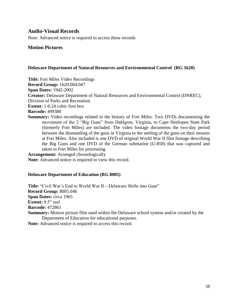## **Audio-Visual Records**

Note: Advanced notice is required to access these records

### **Motion Pictures**

#### **Delaware Department of Natural Resources and Environmental Control (RG 1620)**

**Title:** Fort Miles Video Recordings

**Record Group:** 1620.004.047

**Span Dates:** 1942-2002

**Creator:** Delaware Department of Natural Resources and Environmental Control (DNREC),

Division of Parks and Recreation.

**Extent:** 1-0.24 cubic foot box

**Barcode:** 499380

**Summary:** Video recordings related to the history of Fort Miles. Two DVDs documenting the movement of the 2 "Big Guns" from Dahlgren, Virginia, to Cape Henlopen State Park (formerly Fort Miles) are included. The video footage documents the two-day period between the dismantling of the guns in Virginia to the settling of the guns on their mounts at Fort Miles. Also included is one DVD of original World War II film footage describing the Big Guns and one DVD of the German submarine (U-858) that was captured and taken to Fort Miles for processing.

**Arrangement:** Arranged chronologically **Note:** Advanced notice is required to view this record.

### **Delaware Department of Education (RG 8005)**

**Title:** "Civil War's End to World War II—Delaware Shifts into Gear" **Record Group:** 8005.046 **Span Dates:** circa 1965 **Extent:** 9.5" reel **Barcode:** 472861 **Summary:** Motion picture film used within the Delaware school system and/or created by the Department of Education for educational purposes. **Note:** Advanced notice is required to access this record.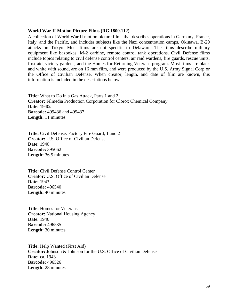#### **World War II Motion Picture Films (RG 1800.112)**

A collection of World War II motion picture films that describes operations in Germany, France, Italy, and the Pacific, and includes subjects like the Nazi concentration camps, Okinawa, B-29 attacks on Tokyo. Most films are not specific to Delaware. The films describe military equipment like bazookas, M-2 carbine, remote control tank operations. Civil Defense films include topics relating to civil defense control centers, air raid wardens, fire guards, rescue units, first aid, victory gardens, and the Homes for Returning Veterans program. Most films are black and white with sound, are on 16 mm film, and were produced by the U.S. Army Signal Corp or the Office of Civilian Defense. When creator, length, and date of film are known, this information is included in the descriptions below.

**Title:** What to Do in a Gas Attack, Parts 1 and 2 **Creator:** Filmedia Production Corporation for Clorox Chemical Company **Date:** 1940s **Barcode:** 499436 and 499437 **Length:** 11 minutes

**Title:** Civil Defense: Factory Fire Guard, 1 and 2 **Creator:** U.S. Office of Civilian Defense **Date:** 1940 **Barcode:** 395062 **Length:** 36.5 minutes

**Title:** Civil Defense Control Center **Creator:** U.S. Office of Civilian Defense **Date:** 1943 **Barcode:** 496540 **Length:** 40 minutes

**Title:** Homes for Veterans **Creator:** National Housing Agency **Date:** 1946 **Barcode:** 496535 **Length:** 30 minutes

**Title:** Help Wanted (First Aid) **Creator:** Johnson & Johnson for the U.S. Office of Civilian Defense **Date:** ca. 1943 **Barcode:** 496526 **Length:** 28 minutes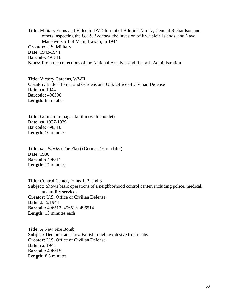**Title:** Military Films and Video in DVD format of Admiral Nimitz, General Richardson and others inspecting the *U.S.S. Leonard*, the Invasion of Kwajalein Islands, and Naval Maneuvers off of Maui, Hawaii, in 1944 **Creator:** U.S. Military **Date:** 1943-1944 **Barcode:** 491310 **Notes:** From the collections of the National Archives and Records Administration

**Title:** Victory Gardens, WWII **Creator:** Better Homes and Gardens and U.S. Office of Civilian Defense **Date:** ca. 1944 **Barcode:** 496500 **Length:** 8 minutes

**Title:** German Propaganda film (with booklet) **Date:** ca. 1937-1939 **Barcode:** 496510 **Length:** 10 minutes

**Title:** *der Flachs* (The Flax) (German 16mm film) **Date:** 1936 **Barcode:** 496511 **Length:** 17 minutes

**Title:** Control Center, Prints 1, 2, and 3 **Subject:** Shows basic operations of a neighborhood control center, including police, medical, and utility services. **Creator:** U.S. Office of Civilian Defense **Date:** 2/15/1943 **Barcode:** 496512, 496513, 496514 **Length:** 15 minutes each

**Title:** A New Fire Bomb **Subject:** Demonstrates how British fought explosive fire bombs **Creator:** U.S. Office of Civilian Defense **Date:** ca. 1943 **Barcode:** 496515 **Length:** 8.5 minutes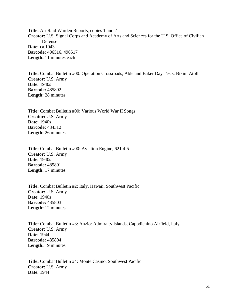**Title:** Air Raid Warden Reports, copies 1 and 2 **Creator:** U.S. Signal Corps and Academy of Arts and Sciences for the U.S. Office of Civilian Defense **Date:** ca.1943 **Barcode:** 496516, 496517 **Length:** 11 minutes each

**Title:** Combat Bulletin #00: Operation Crossroads, Able and Baker Day Tests, Bikini Atoll **Creator:** U.S. Army **Date:** 1940s **Barcode:** 485802 **Length:** 28 minutes

**Title:** Combat Bulletin #00: Various World War II Songs **Creator:** U.S. Army **Date:** 1940s **Barcode:** 484312 **Length:** 26 minutes

**Title:** Combat Bulletin #00: Aviation Engine, 621.4-5 **Creator:** U.S. Army **Date:** 1940s **Barcode:** 485801 **Length:** 17 minutes

**Title:** Combat Bulletin #2: Italy, Hawaii, Southwest Pacific **Creator:** U.S. Army **Date:** 1940s **Barcode:** 485803 **Length:** 12 minutes

**Title:** Combat Bulletin #3: Anzio: Admiralty Islands, Capodichino Airfield, Italy **Creator:** U.S. Army **Date:** 1944 **Barcode:** 485804 **Length:** 19 minutes

**Title:** Combat Bulletin #4: Monte Casino, Southwest Pacific **Creator:** U.S. Army **Date:** 1944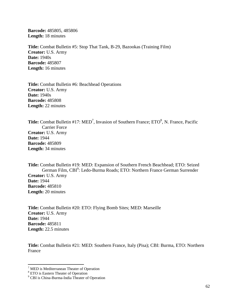**Barcode:** 485805, 485806 **Length:** 18 minutes

**Title:** Combat Bulletin #5: Stop That Tank, B-29, Bazookas (Training Film) **Creator:** U.S. Army **Date:** 1940s **Barcode:** 485807 **Length:** 16 minutes

**Title:** Combat Bulletin #6: Beachhead Operations **Creator:** U.S. Army **Date:** 1940s **Barcode:** 485808 **Length:** 22 minutes

**Title:** Combat Bulletin #17: MED<sup>7</sup>, Invasion of Southern France; ETO<sup>8</sup>, N. France, Pacific Carrier Force **Creator:** U.S. Army **Date:** 1944 **Barcode:** 485809 **Length:** 34 minutes

**Title:** Combat Bulletin #19: MED: Expansion of Southern French Beachhead; ETO: Seized German Film, CBI<sup>9</sup>: Ledo-Burma Roads; ETO: Northern France German Surrender **Creator:** U.S. Army **Date:** 1944 **Barcode:** 485810 **Length:** 20 minutes

**Title:** Combat Bulletin #20: ETO: Flying Bomb Sites; MED: Marseille **Creator:** U.S. Army **Date:** 1944 **Barcode:** 485811 **Length:** 22.5 minutes

**Title:** Combat Bulletin #21: MED: Southern France, Italy (Pisa); CBI: Burma, ETO: Northern France

 $\overline{\phantom{a}}$ 

 $7$  MED is Mediterranean Theater of Operation

<sup>&</sup>lt;sup>8</sup> ETO is Eastern Theater of Operation

<sup>&</sup>lt;sup>9</sup> CBI is China-Burma-India Theater of Operation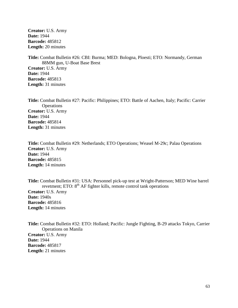**Creator:** U.S. Army **Date:** 1944 **Barcode:** 485812 **Length:** 20 minutes

**Title:** Combat Bulletin #26: CBI: Burma; MED: Bologna, Ploesti; ETO: Normandy, German 88MM gun, U-Boat Base Brest **Creator:** U.S. Army **Date:** 1944 **Barcode:** 485813 **Length:** 31 minutes

**Title:** Combat Bulletin #27: Pacific: Philippines; ETO: Battle of Aachen, Italy; Pacific: Carrier **Operations Creator:** U.S. Army **Date:** 1944 **Barcode:** 485814 **Length:** 31 minutes

**Title:** Combat Bulletin #29: Netherlands; ETO Operations; Weasel M-29c; Palau Operations **Creator:** U.S. Army **Date:** 1944 **Barcode:** 485815 **Length:** 14 minutes

**Title:** Combat Bulletin #31: USA: Personnel pick-up test at Wright-Patterson; MED Wine barrel revetment; ETO:  $8<sup>th</sup>$  AF fighter kills, remote control tank operations **Creator:** U.S. Army **Date:** 1940s **Barcode:** 485816 **Length:** 14 minutes

**Title:** Combat Bulletin #32: ETO: Holland; Pacific: Jungle Fighting, B-29 attacks Tokyo, Carrier Operations on Manila **Creator:** U.S. Army **Date:** 1944 **Barcode:** 485817 **Length:** 21 minutes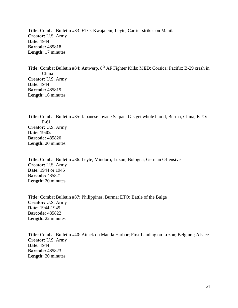**Title:** Combat Bulletin #33: ETO: Kwajalein; Leyte; Carrier strikes on Manila **Creator:** U.S. Army **Date:** 1944 **Barcode:** 485818 **Length:** 17 minutes

Title: Combat Bulletin #34: Antwerp, 8<sup>th</sup> AF Fighter Kills; MED: Corsica; Pacific: B-29 crash in China **Creator:** U.S. Army **Date:** 1944 **Barcode:** 485819 **Length:** 16 minutes

**Title:** Combat Bulletin #35: Japanese invade Saipan, GIs get whole blood, Burma, China; ETO: P-61 **Creator:** U.S. Army **Date:** 1940s **Barcode:** 485820 **Length:** 20 minutes

**Title:** Combat Bulletin #36: Leyte; Mindoro; Luzon; Bologna; German Offensive **Creator:** U.S. Army **Date:** 1944 or 1945 **Barcode:** 485821 **Length:** 20 minutes

**Title:** Combat Bulletin #37: Philippines, Burma; ETO: Battle of the Bulge **Creator:** U.S. Army **Date:** 1944-1945 **Barcode:** 485822 **Length:** 22 minutes

**Title:** Combat Bulletin #40: Attack on Manila Harbor; First Landing on Luzon; Belgium; Alsace **Creator:** U.S. Army **Date:** 1944 **Barcode:** 485823 **Length:** 20 minutes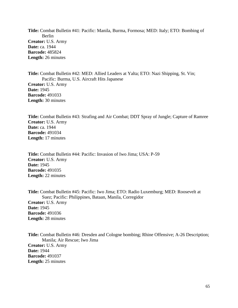**Title:** Combat Bulletin #41: Pacific: Manila, Burma, Formosa; MED: Italy; ETO: Bombing of Berlin **Creator:** U.S. Army **Date:** ca. 1944 **Barcode:** 485824 **Length:** 26 minutes

**Title:** Combat Bulletin #42: MED: Allied Leaders at Yalta; ETO: Nazi Shipping, St. Vin; Pacific: Burma, U.S. Aircraft Hits Japanese **Creator:** U.S. Army **Date:** 1945 **Barcode:** 491033 **Length:** 30 minutes

**Title:** Combat Bulletin #43: Strafing and Air Combat; DDT Spray of Jungle; Capture of Ramree **Creator:** U.S. Army **Date:** ca. 1944 **Barcode:** 491034 **Length:** 17 minutes

**Title:** Combat Bulletin #44: Pacific: Invasion of Iwo Jima; USA: P-59 **Creator:** U.S. Army **Date:** 1945 **Barcode:** 491035 **Length:** 22 minutes

**Title:** Combat Bulletin #45: Pacific: Iwo Jima; ETO: Radio Luxemburg; MED: Roosevelt at Suez; Pacific: Philippines, Bataan, Manila, Corregidor **Creator:** U.S. Army **Date:** 1945 **Barcode:** 491036 **Length:** 28 minutes

**Title:** Combat Bulletin #46: Dresden and Cologne bombing; Rhine Offensive; A-26 Description; Manila; Air Rescue; Iwo Jima **Creator:** U.S. Army **Date:** 1944 **Barcode:** 491037 **Length:** 25 minutes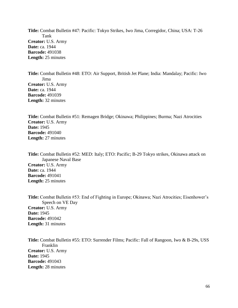**Title:** Combat Bulletin #47: Pacific: Tokyo Strikes, Iwo Jima, Corregidor, China; USA: T-26 Tank **Creator:** U.S. Army **Date:** ca. 1944 **Barcode:** 491038 **Length:** 25 minutes

**Title:** Combat Bulletin #48: ETO: Air Support, British Jet Plane; India: Mandalay; Pacific: Iwo Jima **Creator:** U.S. Army **Date:** ca. 1944 **Barcode:** 491039 **Length:** 32 minutes

**Title:** Combat Bulletin #51: Remagen Bridge; Okinawa; Philippines; Burma; Nazi Atrocities **Creator:** U.S. Army **Date:** 1945 **Barcode:** 491040 **Length:** 27 minutes

**Title:** Combat Bulletin #52: MED: Italy; ETO: Pacific; B-29 Tokyo strikes, Okinawa attack on Japanese Naval Base **Creator:** U.S. Army **Date:** ca. 1944 **Barcode:** 491041 **Length:** 25 minutes

**Title:** Combat Bulletin #53: End of Fighting in Europe; Okinawa; Nazi Atrocities; Eisenhower's Speech on VE Day **Creator:** U.S. Army **Date:** 1945 **Barcode:** 491042 **Length:** 31 minutes

**Title:** Combat Bulletin #55: ETO: Surrender Films; Pacific: Fall of Rangoon, Iwo & B-29s, USS Franklin **Creator:** U.S. Army **Date:** 1945 **Barcode:** 491043 **Length:** 28 minutes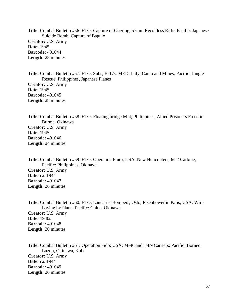**Title:** Combat Bulletin #56: ETO: Capture of Goering, 57mm Recoilless Rifle; Pacific: Japanese Suicide Bomb, Capture of Baguio **Creator:** U.S. Army **Date:** 1945 **Barcode:** 491044 **Length:** 28 minutes

**Title:** Combat Bulletin #57: ETO: Subs, B-17s; MED: Italy: Camo and Mines; Pacific: Jungle Rescue, Philippines, Japanese Planes **Creator:** U.S. Army **Date:** 1945 **Barcode:** 491045 **Length:** 28 minutes

**Title:** Combat Bulletin #58: ETO: Floating bridge M-4; Philippines, Allied Prisoners Freed in Burma, Okinawa **Creator:** U.S. Army **Date:** 1945 **Barcode:** 491046 **Length:** 24 minutes

**Title:** Combat Bulletin #59: ETO: Operation Pluto; USA: New Helicopters, M-2 Carbine; Pacific: Philippines, Okinawa **Creator:** U.S. Army **Date:** ca. 1944 **Barcode:** 491047 **Length:** 26 minutes

**Title:** Combat Bulletin #60: ETO: Lancaster Bombers, Oslo, Eisenhower in Paris; USA: Wire Laying by Plane; Pacific: China, Okinawa **Creator:** U.S. Army **Date:** 1940s **Barcode:** 491048 **Length:** 20 minutes

**Title:** Combat Bulletin #61: Operation Fido; USA: M-40 and T-89 Carriers; Pacific: Borneo, Luzon, Okinawa, Kobe **Creator:** U.S. Army **Date:** ca. 1944 **Barcode:** 491049 **Length:** 26 minutes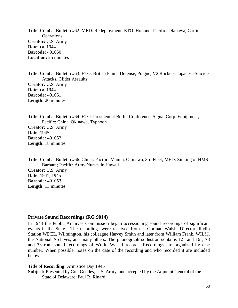**Title:** Combat Bulletin #62: MED: Redeployment; ETO: Holland; Pacific: Okinawa, Carrier **Operations Creator:** U.S. Army **Date:** ca. 1944 **Barcode:** 491050 **Location:** 25 minutes

**Title:** Combat Bulletin #63: ETO: British Flame Defense, Prague, V2 Rockets; Japanese Suicide Attacks, Glider Assaults **Creator:** U.S. Army **Date:** ca. 1944 **Barcode:** 491051 **Length:** 20 minutes

**Title:** Combat Bulletin #64: ETO: President at Berlin Conference, Signal Corp. Equipment; Pacific: China, Okinawa, Typhoon **Creator:** U.S. Army **Date:** 1945 **Barcode:** 491052 **Length:** 18 minutes

**Title:** Combat Bulletin #66: China: Pacific: Manila, Okinawa, 3rd Fleet; MED: Sinking of HMS Barham; Pacific: Army Nurses in Hawaii **Creator:** U.S. Army **Date:** 1941, 1945

**Barcode:** 491053 **Length:** 13 minutes

### **Private Sound Recordings (RG 9014)**

In 1944 the Public Archives Commission began accessioning sound recordings of significant events in the State. The recordings were received from J. Gorman Walsh, Director, Radio Station WDEL, Wilmington, his colleague Harvey Smith and later from William Frank, WILM, the National Archives, and many others. The phonograph collection contains 12" and 16", 78 and 33 rpm sound recordings of World War II records. Recordings are organized by disc number. When possible, notes on the date of the recording and who recorded it are included below:

#### **Title of Recording:** Armistice Day 1946

Subject: Presented by Col. Geddes, U.S. Army, and accepted by the Adjutant General of the State of Delaware, Paul R. Rinard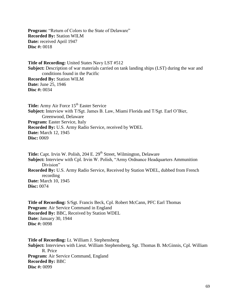Program: "Return of Colors to the State of Delaware" **Recorded By:** Station WILM **Date:** received April 1947 **Disc #:** 0018

**Title of Recording:** United States Navy LST #512 **Subject:** Description of war materials carried on tank landing ships (LST) during the war and conditions found in the Pacific **Recorded By:** Station WILM **Date:** June 25, 1946 **Disc #:** 0034

**Title:** Army Air Force 15<sup>th</sup> Easter Service **Subject:** Interview with T/Sgt. James B. Law, Miami Florida and T/Sgt. Earl O'Bier, Greenwood, Delaware **Program:** Easter Service, Italy **Recorded By:** U.S. Army Radio Service, received by WDEL **Date:** March 12, 1945 **Disc:** 0069

Title: Capt. Irvin W. Polish, 204 E. 29<sup>th</sup> Street, Wilmington, Delaware **Subject:** Interview with Cpl. Irvin W. Polish, "Army Ordnance Headquarters Ammunition Division" **Recorded By:** U.S. Army Radio Service, Received by Station WDEL, dubbed from French recording **Date:** March 10, 1945 **Disc:** 0074

**Title of Recording:** S/Sgt. Francis Beck, Cpl. Robert McCann, PFC Earl Thomas **Program:** Air Service Command in England **Recorded By:** BBC, Received by Station WDEL **Date:** January 30, 1944 **Disc #:** 0098

**Title of Recording:** Lt. William J. Stephensberg **Subject:** Interviews with Lieut. William Stephensberg, Sgt. Thomas B. McGinnis, Cpl. William R. Price **Program:** Air Service Command, England **Recorded By:** BBC **Disc #:** 0099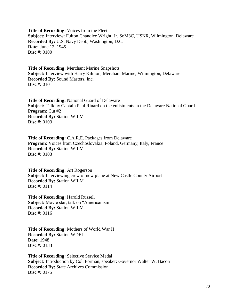**Title of Recording:** Voices from the Fleet **Subject:** Interview: Fulton Chandlee Wright, Jr. SoM3C, USNR, Wilmington, Delaware **Recorded By:** U.S. Navy Dept., Washington, D.C. **Date:** June 12, 1945 **Disc #:** 0100

**Title of Recording:** Merchant Marine Snapshots **Subject:** Interview with Harry Kilmon, Merchant Marine, Wilmington, Delaware **Recorded By:** Sound Masters, Inc. **Disc #:** 0101

**Title of Recording:** National Guard of Delaware **Subject:** Talk by Captain Paul Rinard on the enlistments in the Delaware National Guard **Program:** Cut #2 **Recorded By:** Station WILM **Disc #:** 0103

**Title of Recording:** C.A.R.E. Packages from Delaware **Program:** Voices from Czechoslovakia, Poland, Germany, Italy, France **Recorded By:** Station WILM **Disc #:** 0103

**Title of Recording:** Art Rogerson **Subject:** Interviewing crew of new plane at New Castle County Airport **Recorded By:** Station WILM **Disc #:** 0114

**Title of Recording: Harold Russell Subject:** Movie star, talk on "Americanism" **Recorded By:** Station WILM **Disc #:** 0116

**Title of Recording:** Mothers of World War II **Recorded By:** Station WDEL **Date:** 1948 **Disc #:** 0133

**Title of Recording:** Selective Service Medal **Subject:** Introduction by Col. Forman, speaker: Governor Walter W. Bacon **Recorded By:** State Archives Commission **Disc #:** 0175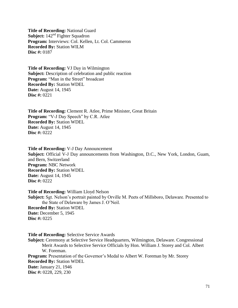**Title of Recording: National Guard Subject:** 142<sup>nd</sup> Fighter Squadron **Program:** Interviews: Col. Kellen, Lt. Col. Cammeron **Recorded By:** Station WILM **Disc #:** 0187

**Title of Recording:** VJ Day in Wilmington **Subject:** Description of celebration and public reaction **Program:** "Man in the Street" broadcast **Recorded By:** Station WDEL **Date:** August 14, 1945 **Disc #:** 0221

**Title of Recording:** Clement R. Atlee, Prime Minister, Great Britain **Program:** "V-J Day Speech" by C.R. Atlee **Recorded By:** Station WDEL **Date:** August 14, 1945 **Disc #:** 0222

**Title of Recording:** V-J Day Announcement **Subject:** Official V-J Day announcements from Washington, D.C., New York, London, Guam, and Bern, Switzerland **Program:** NBC Network **Recorded By:** Station WDEL **Date:** August 14, 1945 **Disc #:** 0222

**Title of Recording:** William Lloyd Nelson **Subject:** Sgt. Nelson's portrait painted by Orville M. Peets of Millsboro, Delaware. Presented to the State of Delaware by James J. O'Neil. **Recorded By:** Station WDEL **Date:** December 5, 1945 **Disc #:** 0225

**Title of Recording:** Selective Service Awards **Subject:** Ceremony at Selective Service Headquarters, Wilmington, Delaware. Congressional Merit Awards to Selective Service Officials by Hon. William J. Storey and Col. Albert W. Foreman. **Program:** Presentation of the Governor's Medal to Albert W. Foreman by Mr. Storey **Recorded By:** Station WDEL **Date:** January 21, 1946 **Disc #:** 0228, 229, 230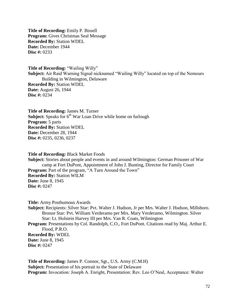**Title of Recording:** Emily P. Bissell **Program:** Gives Christmas Seal Message **Recorded By:** Station WDEL **Date:** December 1944 **Disc #:** 0233

**Title of Recording:** "Wailing Willy" **Subject:** Air Raid Warning Signal nicknamed "Wailing Willy" located on top of the Nemours Building in Wilmington, Delaware **Recorded By:** Station WDEL **Date:** August 26, 1944 **Disc #:** 0234

**Title of Recording:** James M. Turner **Subject:** Speaks for 6<sup>th</sup> War Loan Drive while home on furlough **Program:** 5 parts **Recorded By:** Station WDEL **Date:** December 28, 1944 **Disc #:** 0235, 0236, 0237

**Title of Recording:** Black Market Foods

**Subject:** Stories about people and events in and around Wilmington: German Prisoner of War camp at Fort DuPont, Appointment of John J. Bunting, Director for Family Court **Program:** Part of the program, "A Turn Around the Town" **Recorded By:** Station WILM **Date:** June 8, 1945 **Disc #:** 0247

**Title:** Army Posthumous Awards

**Subject:** Recipients: Silver Star: Pvt. Walter J. Hudson, Jr per Mrs. Walter J. Hudson, Millsboro. Bronze Star: Pvt. William Verderamo per Mrs. Mary Verderamo, Wilmington. Silver Star: Lt. Holstein Harvey III per Mrs. Van R. Coats, Wilmington

**Program:** Presentations by Col. Randolph, C.O., Fort DuPont. Citations read by Maj. Arthur E. Flood, P.R.O.

**Recorded By:** WDEL **Date:** June 8, 1945 **Disc #:** 0247

**Title of Recording:** James P. Connor, Sgt., U.S. Army (C.M.H) **Subject:** Presentation of his portrait to the State of Delaware **Program:** Invocation: Joseph A. Enright, Presentation: Rev. Leo O'Neal, Acceptance: Walter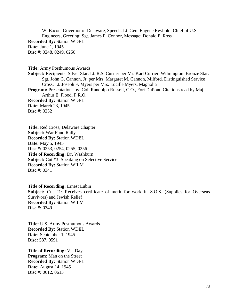W. Bacon, Governor of Delaware, Speech: Lt. Gen. Eugene Reybold, Chief of U.S. Engineers, Greeting: Sgt. James P. Connor, Message: Donald P. Ross **Recorded By:** Station WDEL **Date:** June 1, 1945 **Disc #:** 0248, 0249, 0250

**Title:** Army Posthumous Awards **Subject:** Recipients: Silver Star: Lt. R.S. Currier per Mr. Karl Currier, Wilmington. Bronze Star: Sgt. John G. Cannon, Jr. per Mrs. Margaret M. Cannon, Milford. Distinguished Service Cross: Lt. Joseph F. Myers per Mrs. Lucille Myers, Magnolia Program: Presentations by: Col. Randolph Russell, C.O., Fort DuPont. Citations read by Maj. Arthur E. Flood, P.R.O. **Recorded By:** Station WDEL **Date:** March 23, 1945 **Disc #:** 0252

**Title:** Red Cross, Delaware Chapter **Subject:** War Fund Rally **Recorded By:** Station WDEL **Date:** May 5, 1945 **Disc #:** 0253, 0254, 0255, 0256 **Title of Recording:** Dr. Washburn **Subject:** Cut #3: Speaking on Selective Service **Recorded By:** Station WILM **Disc #:** 0341

**Title of Recording:** Ernest Lubin **Subject:** Cut #1: Receives certificate of merit for work in S.O.S. (Supplies for Overseas Survivors) and Jewish Relief **Recorded By:** Station WILM **Disc #:** 0349

**Title:** U.S. Army Posthumous Awards **Recorded By:** Station WDEL **Date:** September 1, 1945 **Disc:** 587, 0591

**Title of Recording:** V-J Day **Program:** Man on the Street **Recorded By:** Station WDEL **Date:** August 14, 1945 **Disc #:** 0612, 0613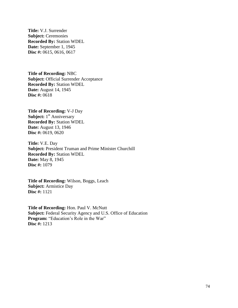**Title:** V.J. Surrender **Subject:** Ceremonies **Recorded By:** Station WDEL **Date:** September 1, 1945 **Disc #:** 0615, 0616, 0617

**Title of Recording:** NBC **Subject:** Official Surrender Acceptance **Recorded By:** Station WDEL **Date:** August 14, 1945 **Disc #:** 0618

**Title of Recording:** V-J Day **Subject:** 1<sup>st</sup> Anniversary **Recorded By:** Station WDEL **Date:** August 13, 1946 **Disc #:** 0619, 0620

**Title:** V.E. Day **Subject:** President Truman and Prime Minister Churchill **Recorded By:** Station WDEL **Date:** May 8, 1945 **Disc #:** 1079

**Title of Recording:** Wilson, Boggs, Leach **Subject:** Armistice Day **Disc #:** 1121

**Title of Recording:** Hon. Paul V. McNutt **Subject:** Federal Security Agency and U.S. Office of Education **Program:** "Education's Role in the War" **Disc #:** 1213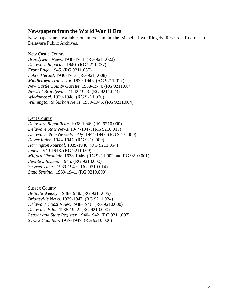## **Newspapers from the World War II Era**

Newspapers are available on microfilm in the Mabel Lloyd Ridgely Research Room at the Delaware Public Archives.

New Castle County

*Brandywine News.* 1938-1941. (RG 9211.022) *Delaware Reporter.* 1940. (RG 9211.037) *Front Page*. 1945. (RG 9211.037) *Labor Herald*. 1940-1947. (RG 9211.008) *Middletown Transcript*. 1939-1945. (RG 9211.017) *New Castle County Gazette*. 1938-1944. (RG 9211.004) *News of Brandywine*. 1942-1943. (RG 9211.023) *Wiadomosci*. 1939-1948. (RG 9211.020) *Wilmington Suburban News*. 1939-1945. (RG 9211.004)

## Kent County

*Delaware Republican*. 1938-1946. (RG 9210.000) *Delaware State News*. 1944-1947. (RG 9210.013) *Delaware State News-Weekly*. 1944-1947. (RG 9210.000) *Dover Index*. 1944-1947. (RG 9210.000) *Harrington Journal*. 1939-1940. (RG 9211.064) *Index*. 1940-1943. (RG 9211.069) *Milford Chronicle*. 1938-1946. (RG 9211.002 and RG 9210.001) *People's Beacon*. 1945. (RG 9210.000) *Smyrna Times*. 1939-1947. (RG 9210.014) *State Sentinel*. 1939-1941. (RG 9210.000)

Sussex County *Bi-State Weekly*. 1938-1948. (RG 9211.005) *Bridgeville News*. 1939-1947. (RG 9211.024) *Delaware Coast News*. 1938-1946. (RG 9210.000) *Delaware Pilot*. 1938-1942. (RG 9210.000) *Leader and State Register*. 1940-1942. (RG 9211.007) *Sussex Countian.* 1939-1947. (RG 9210.000)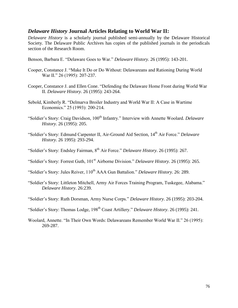## *Delaware History* **Journal Articles Relating to World War II:**

*Delaware History* is a scholarly journal published semi-annually by the Delaware Historical Society. The Delaware Public Archives has copies of the published journals in the periodicals section of the Research Room.

Benson, Barbara E. "Delaware Goes to War." *Delaware History*. 26 (1995): 143-201.

- Cooper, Constance J. "Make It Do or Do Without: Delawareans and Rationing During World War II." 26 (1995): 207-237.
- Cooper, Constance J. and Ellen Cone. "Defending the Delaware Home Front during World War II. *Delaware History*. 26 (1995): 243-264.
- Sebold, Kimberly R. "Delmarva Broiler Industry and World War II: A Case in Wartime Economics." 25 (1993): 200-214.
- "Soldier's Story: Craig Davidson, 100<sup>th</sup> Infantry." Interview with Annette Woolard. *Delaware History*. 26 (1995): 205.
- "Soldier's Story: Edmund Carpenter II, Air-Ground Aid Section, 14th Air Force." *Delaware History.* 26 1995): 293-294.
- "Soldier's Story: Endsley Fairman, 8th Air Force." *Delaware History*. 26 (1995): 267.
- "Soldier's Story: Forrest Guth, 101<sup>st</sup> Airborne Division." *Delaware History*. 26 (1995): 265.
- "Soldier's Story: Jules Reiver, 110<sup>th</sup> AAA Gun Battalion." *Delaware History*. 26: 289.
- "Soldier's Story: Littleton Mitchell, Army Air Forces Training Program, Tuskegee, Alabama." *Delaware History*. 26:239.
- "Soldier's Story: Ruth Dorsman, Army Nurse Corps." *Delaware History*. 26 (1995): 203-204.
- "Soldier's Story: Thomas Lodge, 198<sup>th</sup> Coast Artillery." *Delaware History*. 26 (1995): 241.
- Woolard, Annette. "In Their Own Words: Delawareans Remember World War II." 26 (1995): 269-287.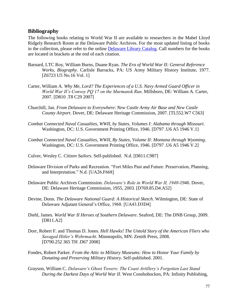## **Bibliography**

The following books relating to World War II are available to researchers in the Mabel Lloyd Ridgely Research Room at the Delaware Public Archives. For the most updated listing of books in the collection, please refer to the online [Delaware Library Catalog.](http://dlc.lib.de.us/client/default) Call numbers for the books are located in brackets at the end of each citation.

- Barnard, LTC Roy, William Burns, Duane Ryan. *The Era of World War II: General Reference Works, Biography*. Carlisle Barracks, PA: US Army Military History Institute, 1977. [Z6723 U5 No.16 Vol. 1]
- Carter, William A. *Why Me, Lord? The Experiences of a U.S. Navy Armed Guard Officer in World War II's Convoy PQ 17 on the Murmansk Run*. Millsboro, DE: William A. Carter, 2007. [D810 .T8 C29 2007]
- Churchill, Jan. *From Delaware to Everywhere*: *New Castle Army Air Base and New Castle County Airport*. Dover, DE: Delaware Heritage Commission, 2007. [TL552.W7 C563]
- *Combat Connected Naval Casualties, WWII, by States, Volumes I: Alabama through Missouri*. Washington, DC: U.S. Government Printing Office, 1946. [D797 .U6 A5 1946 V.1]
- *Combat Connected Naval Casualties, WWII, By States, Volume II: Montana through Wyoming*. Washington, DC: U.S. Government Printing Office, 1946. [D797 .U6 A5 1946 V.2]
- Culver, Wesley C. *Citizen Sailors*. Self-published. N.d. [D811.C987]
- Delaware Division of Parks and Recreation. "Fort Miles Past and Future: Preservation, Planning, and Interpretation." N.d. [UA26.F668]
- Delaware Public Archives Commission. *Delaware's Role in World War II, 1940-1946*. Dover, DE: Delaware Heritage Commission, 1955, 2003. [D769.85.D4.A52]
- Devine, Donn. *The Delaware National Guard: A Historical Sketch*. Wilmington, DE: State of Delaware Adjutant General's Office, 1968. [UA43.D3D4]
- Diehl, James*. World War II Heroes of Southern Delaware*. Seaford, DE: The DNB Group, 2009. [D811.A2]
- Dorr, Robert F. and Thomas D. Jones. *Hell Hawks! The Untold Story of the American Fliers who Savaged Hitler's Wehrmacht*. Minneapolis, MN: Zenith Press, 2008. [D790.252 365 TH .D67 2008]
- Fondes, Robert Parker. *From the Attic to Military Museums: How to Honor Your Family by Donating and Preserving Military History.* Self-published. 2001.
- Grayson, William C. *Delaware's Ghost Towers: The Coast Artillery's Forgotten Last Stand During the Darkest Days of World War II.* West Conshohocken, PA: Infinity Publishing,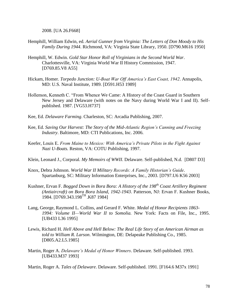2008. [UA 26.F668]

- Hemphill, William Edwin, ed. *Aerial Gunner from Virginia: The Letters of Don Moody to His Family During 1944*. Richmond, VA: Virginia State Library, 1950. [D790.M616 1950]
- Hemphill, W. Edwin. *Gold Star Honor Roll of Virginians in the Second World War*. Charlottesville, VA: Virginia World War II History Commission, 1947. [D769.85.V8 A55]
- Hickam, Homer. *Torpedo Junction: U-Boat War Off America's East Coast, 1942*. Annapolis, MD: U.S. Naval Institute, 1989. [D591.H53 1989]
- Hollemon, Kenneth C. "From Whence We Came: A History of the Coast Guard in Southern New Jersey and Delaware (with notes on the Navy during World War I and II). Selfpublished. 1987. [VG53.H737]
- Kee, Ed. *Delaware Farming*. Charleston, SC: Arcadia Publishing, 2007.
- Kee, Ed. *Saving Our Harvest: The Story of the Mid-Atlantic Region's Canning and Freezing Industry*. Baltimore, MD: CTI Publications, Inc. 2006.
- Keefer, Louis E. *From Maine to Mexico: With America's Private Pilots in the Fight Against Nazi U-Boats.* Reston, VA: COTU Publishing, 1997.
- Klein, Leonard J., Corporal. *My Memoirs of WWII*. Delaware. Self-published, N.d. [D807 D3]
- Knox, Debra Johnson. *World War II Military Records: A Family Historian's Guide*. Spartanburg, SC: Military Information Enterprises, Inc., 2003. [D797.U6 K56 2003]
- Kushner, Ervan F. *Bogged Down in Bora Bora: A History of the 198th Coast Artillery Regiment (Antiaircraft) on Bora Bora Island, 1942-1943*. Patterson, NJ: Ervan F. Kushner Books, 1984. [D769.343.198TH .K87 1984]
- Lang, George, Raymond L. Collins, and Gerard F. White. *Medal of Honor Recipients 1863- 1994: Volume II—World War II to Somolia.* New York: Facts on File, Inc., 1995. [UB433 L36 1995]
- Lewis, Richard H. *Hell Above and Hell Below: The Real Life Story of an American Airman as told to William R. Larson*. Wilmington, DE: Delapeake Publishing Co., 1985. [D805.A2.L5.1985]
- Martin, Roger A. *Delaware's Medal of Honor Winners*. Delaware. Self-published. 1993. [UB433.M37 1993]

Martin, Roger A. *Tales of Delaware*. Delaware. Self-published. 1991. [F164.6 M37x 1991]